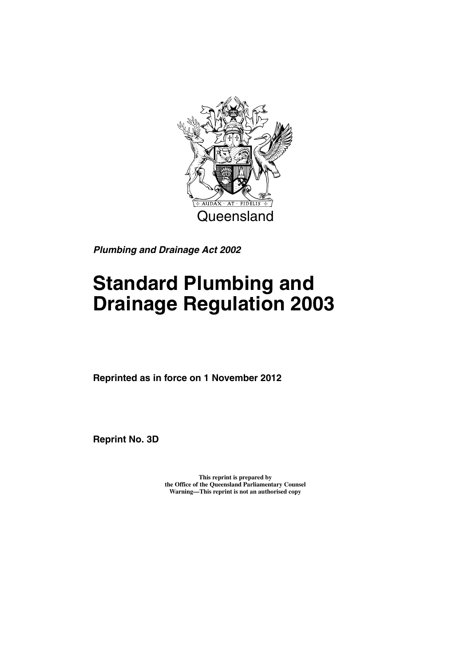

*Plumbing and Drainage Act 2002*

# **Standard Plumbing and Drainage Regulation 2003**

**Reprinted as in force on 1 November 2012**

**Reprint No. 3D**

**This reprint is prepared by the Office of the Queensland Parliamentary Counsel Warning—This reprint is not an authorised copy**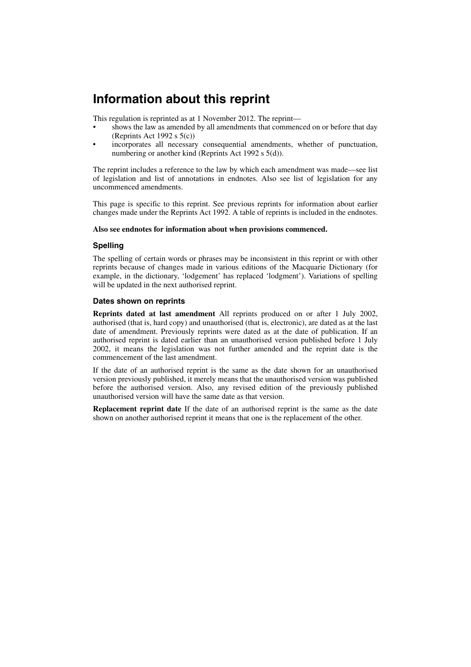## **Information about this reprint**

This regulation is reprinted as at 1 November 2012. The reprint—

- shows the law as amended by all amendments that commenced on or before that day (Reprints Act 1992 s  $5(c)$ )
- incorporates all necessary consequential amendments, whether of punctuation, numbering or another kind (Reprints Act 1992 s 5(d)).

The reprint includes a reference to the law by which each amendment was made—see list of legislation and list of annotations in endnotes. Also see list of legislation for any uncommenced amendments.

This page is specific to this reprint. See previous reprints for information about earlier changes made under the Reprints Act 1992. A table of reprints is included in the endnotes.

#### **Also see endnotes for information about when provisions commenced.**

#### **Spelling**

The spelling of certain words or phrases may be inconsistent in this reprint or with other reprints because of changes made in various editions of the Macquarie Dictionary (for example, in the dictionary, 'lodgement' has replaced 'lodgment'). Variations of spelling will be updated in the next authorised reprint.

#### **Dates shown on reprints**

**Reprints dated at last amendment** All reprints produced on or after 1 July 2002, authorised (that is, hard copy) and unauthorised (that is, electronic), are dated as at the last date of amendment. Previously reprints were dated as at the date of publication. If an authorised reprint is dated earlier than an unauthorised version published before 1 July 2002, it means the legislation was not further amended and the reprint date is the commencement of the last amendment.

If the date of an authorised reprint is the same as the date shown for an unauthorised version previously published, it merely means that the unauthorised version was published before the authorised version. Also, any revised edition of the previously published unauthorised version will have the same date as that version.

**Replacement reprint date** If the date of an authorised reprint is the same as the date shown on another authorised reprint it means that one is the replacement of the other.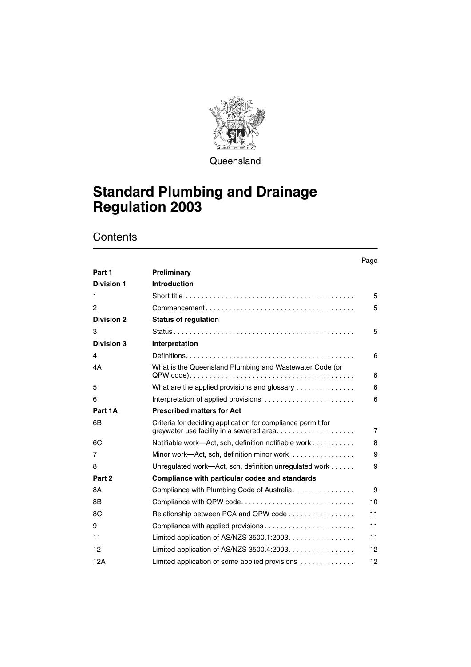

**Queensland** 

## **Standard Plumbing and Drainage Regulation 2003**

**Contents** 

|                   |                                                                                                         | Page              |
|-------------------|---------------------------------------------------------------------------------------------------------|-------------------|
| Part 1            | Preliminary                                                                                             |                   |
| <b>Division 1</b> | <b>Introduction</b>                                                                                     |                   |
| 1                 |                                                                                                         | 5                 |
| 2                 |                                                                                                         | 5                 |
| <b>Division 2</b> | <b>Status of regulation</b>                                                                             |                   |
| 3                 |                                                                                                         | 5                 |
| <b>Division 3</b> | Interpretation                                                                                          |                   |
| 4                 |                                                                                                         | 6                 |
| 4A                | What is the Queensland Plumbing and Wastewater Code (or                                                 | 6                 |
| 5                 | What are the applied provisions and glossary                                                            | 6                 |
| 6                 | Interpretation of applied provisions $\ldots \ldots \ldots \ldots \ldots \ldots \ldots$                 | 6                 |
| Part 1A           | <b>Prescribed matters for Act</b>                                                                       |                   |
| 6B                | Criteria for deciding application for compliance permit for<br>greywater use facility in a sewered area | $\overline{7}$    |
| 6C                | Notifiable work-Act, sch, definition notifiable work                                                    | 8                 |
| 7                 | Minor work—Act, sch, definition minor work                                                              | 9                 |
| 8                 | Unregulated work-Act, sch, definition unregulated work                                                  | 9                 |
| Part 2            | Compliance with particular codes and standards                                                          |                   |
| 8A                | Compliance with Plumbing Code of Australia                                                              | 9                 |
| 8B                | Compliance with QPW code                                                                                | 10                |
| 8C                | Relationship between PCA and QPW code                                                                   | 11                |
| 9                 |                                                                                                         | 11                |
| 11                | Limited application of AS/NZS 3500.1:2003.                                                              | 11                |
| 12                | Limited application of AS/NZS $3500.4:2003$                                                             | 12                |
| 12A               | Limited application of some applied provisions                                                          | $12 \overline{ }$ |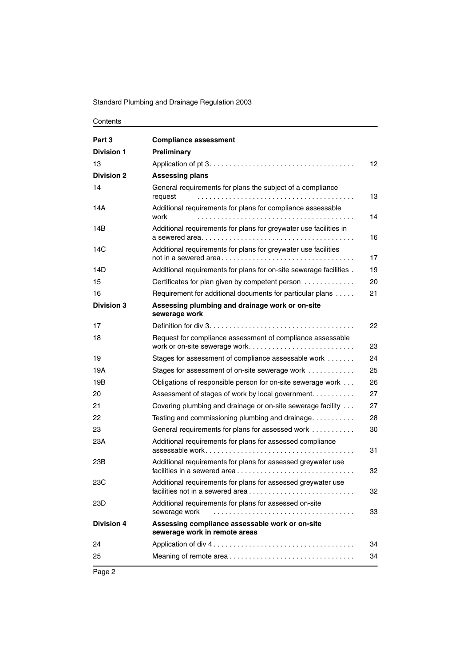#### Standard Plumbing and Drainage Regulation 2003

| Contents |
|----------|
|----------|

| Part 3            | <b>Compliance assessment</b>                                                                     |    |
|-------------------|--------------------------------------------------------------------------------------------------|----|
| <b>Division 1</b> | Preliminary                                                                                      |    |
| 13                |                                                                                                  | 12 |
| <b>Division 2</b> | <b>Assessing plans</b>                                                                           |    |
| 14                | General requirements for plans the subject of a compliance<br>request                            | 13 |
| 14A               | Additional requirements for plans for compliance assessable<br>work                              | 14 |
| 14B               | Additional requirements for plans for greywater use facilities in                                | 16 |
| 14C               | Additional requirements for plans for greywater use facilities                                   | 17 |
| 14D               | Additional requirements for plans for on-site sewerage facilities.                               | 19 |
| 15                | Certificates for plan given by competent person                                                  | 20 |
| 16                | Requirement for additional documents for particular plans                                        | 21 |
| <b>Division 3</b> | Assessing plumbing and drainage work or on-site<br>sewerage work                                 |    |
| 17                |                                                                                                  | 22 |
| 18                | Request for compliance assessment of compliance assessable<br>work or on-site sewerage work      | 23 |
| 19                | Stages for assessment of compliance assessable work                                              | 24 |
| 19A               | Stages for assessment of on-site sewerage work                                                   | 25 |
| 19B               | Obligations of responsible person for on-site sewerage work                                      | 26 |
| 20                | Assessment of stages of work by local government                                                 | 27 |
| 21                | Covering plumbing and drainage or on-site sewerage facility                                      | 27 |
| 22                | Testing and commissioning plumbing and drainage                                                  | 28 |
| 23                | General requirements for plans for assessed work                                                 | 30 |
| 23A               | Additional requirements for plans for assessed compliance                                        | 31 |
| 23B               | Additional requirements for plans for assessed greywater use<br>facilities in a sewered area     | 32 |
| 23C               | Additional requirements for plans for assessed greywater use<br>facilities not in a sewered area | 32 |
| 23D               | Additional requirements for plans for assessed on-site<br>sewerage work                          | 33 |
| <b>Division 4</b> | Assessing compliance assessable work or on-site<br>sewerage work in remote areas                 |    |
| 24                |                                                                                                  | 34 |
| 25                |                                                                                                  | 34 |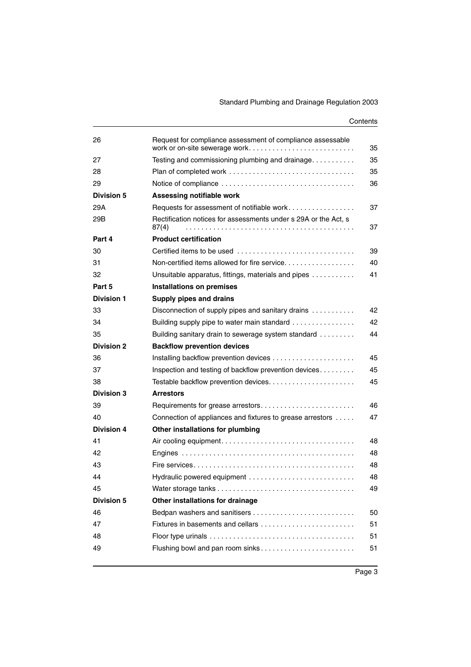#### **Contents**

| 26                | Request for compliance assessment of compliance assessable<br>work or on-site sewerage work | 35 |
|-------------------|---------------------------------------------------------------------------------------------|----|
| 27                | Testing and commissioning plumbing and drainage                                             | 35 |
| 28                |                                                                                             | 35 |
| 29                |                                                                                             | 36 |
| <b>Division 5</b> | Assessing notifiable work                                                                   |    |
| 29A               | Requests for assessment of notifiable work                                                  | 37 |
| 29B               | Rectification notices for assessments under s 29A or the Act, s<br>87(4)                    | 37 |
| Part 4            | <b>Product certification</b>                                                                |    |
| 30                | Certified items to be used                                                                  | 39 |
| 31                | Non-certified items allowed for fire service                                                | 40 |
| 32                | Unsuitable apparatus, fittings, materials and pipes                                         | 41 |
| Part 5            | Installations on premises                                                                   |    |
| <b>Division 1</b> | Supply pipes and drains                                                                     |    |
| 33                | Disconnection of supply pipes and sanitary drains                                           | 42 |
| 34                | Building supply pipe to water main standard                                                 | 42 |
| 35                | Building sanitary drain to sewerage system standard                                         | 44 |
| <b>Division 2</b> | <b>Backflow prevention devices</b>                                                          |    |
| 36                |                                                                                             | 45 |
| 37                | Inspection and testing of backflow prevention devices                                       | 45 |
| 38                |                                                                                             | 45 |
| <b>Division 3</b> | <b>Arrestors</b>                                                                            |    |
| 39                | Requirements for grease arrestors                                                           | 46 |
| 40                | Connection of appliances and fixtures to grease arrestors                                   | 47 |
| <b>Division 4</b> | Other installations for plumbing                                                            |    |
| 41                |                                                                                             | 48 |
| 42                |                                                                                             | 48 |
| 43                |                                                                                             | 48 |
| 44                | Hydraulic powered equipment                                                                 | 48 |
| 45                |                                                                                             | 49 |
| <b>Division 5</b> | Other installations for drainage                                                            |    |
| 46                |                                                                                             | 50 |
| 47                | Fixtures in basements and cellars                                                           | 51 |
| 48                |                                                                                             | 51 |
| 49                | Flushing bowl and pan room sinks                                                            | 51 |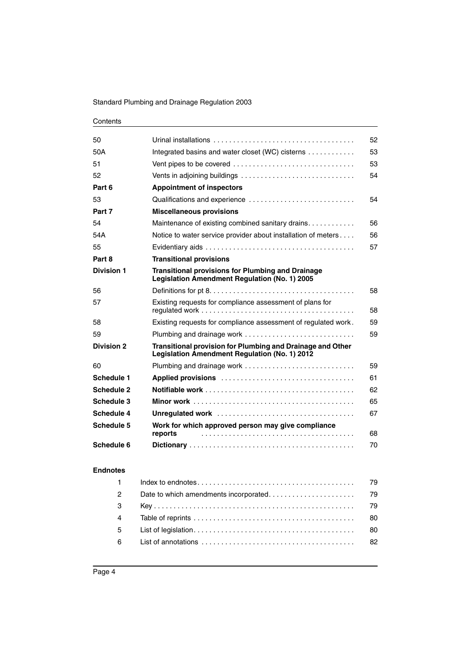#### Standard Plumbing and Drainage Regulation 2003

#### **Contents**

| 50                |                                                                                                                    | 52 |
|-------------------|--------------------------------------------------------------------------------------------------------------------|----|
| 50A               | Integrated basins and water closet (WC) cisterns                                                                   | 53 |
| 51                | Vent pipes to be covered                                                                                           | 53 |
| 52                |                                                                                                                    | 54 |
| Part 6            | <b>Appointment of inspectors</b>                                                                                   |    |
| 53                | Qualifications and experience                                                                                      | 54 |
| Part 7            | <b>Miscellaneous provisions</b>                                                                                    |    |
| 54                | Maintenance of existing combined sanitary drains                                                                   | 56 |
| 54A               | Notice to water service provider about installation of meters                                                      | 56 |
| 55                |                                                                                                                    | 57 |
| Part 8            | <b>Transitional provisions</b>                                                                                     |    |
| <b>Division 1</b> | <b>Transitional provisions for Plumbing and Drainage</b><br>Legislation Amendment Regulation (No. 1) 2005          |    |
| 56                |                                                                                                                    | 58 |
| 57                | Existing requests for compliance assessment of plans for                                                           | 58 |
| 58                | Existing requests for compliance assessment of regulated work.                                                     | 59 |
| 59                | Plumbing and drainage work                                                                                         | 59 |
| <b>Division 2</b> | <b>Transitional provision for Plumbing and Drainage and Other</b><br>Legislation Amendment Regulation (No. 1) 2012 |    |
| 60                |                                                                                                                    | 59 |
| <b>Schedule 1</b> |                                                                                                                    | 61 |
| Schedule 2        |                                                                                                                    | 62 |
| Schedule 3        |                                                                                                                    | 65 |
| Schedule 4        |                                                                                                                    | 67 |
| Schedule 5        | Work for which approved person may give compliance<br>reports                                                      | 68 |
| Schedule 6        |                                                                                                                    | 70 |
|                   |                                                                                                                    |    |

#### **[Endnotes](#page-80-0)**

| $\mathbf{1}$   |  |
|----------------|--|
| $\overline{2}$ |  |
| $\mathbf{3}$   |  |
| $\overline{4}$ |  |
| 5              |  |
| 6              |  |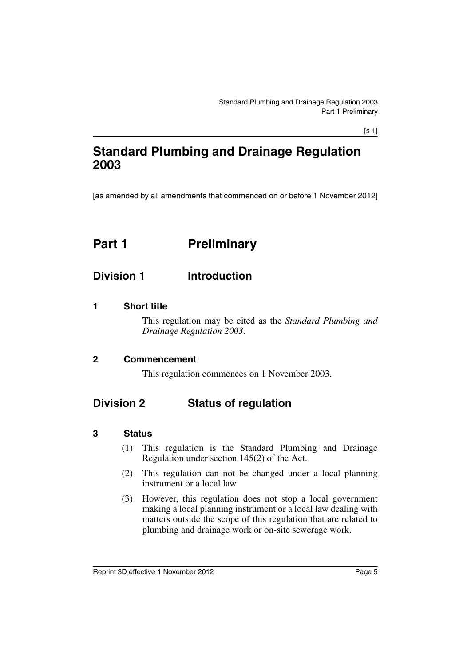[s 1]

## **Standard Plumbing and Drainage Regulation 2003**

[as amended by all amendments that commenced on or before 1 November 2012]

## <span id="page-6-0"></span>**Part 1** Preliminary

## <span id="page-6-1"></span>**Division 1 Introduction**

#### <span id="page-6-2"></span>**1 Short title**

This regulation may be cited as the *Standard Plumbing and Drainage Regulation 2003*.

#### <span id="page-6-3"></span>**2 Commencement**

This regulation commences on 1 November 2003.

## <span id="page-6-4"></span>**Division 2 Status of regulation**

#### <span id="page-6-5"></span>**3 Status**

- (1) This regulation is the Standard Plumbing and Drainage Regulation under section 145(2) of the Act.
- (2) This regulation can not be changed under a local planning instrument or a local law.
- (3) However, this regulation does not stop a local government making a local planning instrument or a local law dealing with matters outside the scope of this regulation that are related to plumbing and drainage work or on-site sewerage work.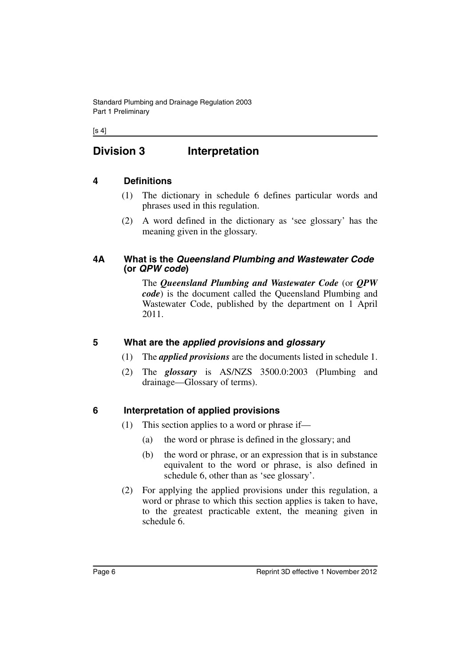$[s 4]$ 

## <span id="page-7-0"></span>**Division 3 Interpretation**

## <span id="page-7-1"></span>**4 Definitions**

- (1) The dictionary in schedule 6 defines particular words and phrases used in this regulation.
- (2) A word defined in the dictionary as 'see glossary' has the meaning given in the glossary.

#### <span id="page-7-2"></span>**4A What is the** *Queensland Plumbing and Wastewater Code*  **(or** *QPW code***)**

The *Queensland Plumbing and Wastewater Code* (or *QPW code*) is the document called the Queensland Plumbing and Wastewater Code, published by the department on 1 April 2011.

## <span id="page-7-3"></span>**5 What are the** *applied provisions* **and** *glossary*

- (1) The *applied provisions* are the documents listed in schedule 1.
- (2) The *glossary* is AS/NZS 3500.0:2003 (Plumbing and drainage—Glossary of terms).

## <span id="page-7-4"></span>**6 Interpretation of applied provisions**

- (1) This section applies to a word or phrase if—
	- (a) the word or phrase is defined in the glossary; and
	- (b) the word or phrase, or an expression that is in substance equivalent to the word or phrase, is also defined in schedule 6, other than as 'see glossary'.
- (2) For applying the applied provisions under this regulation, a word or phrase to which this section applies is taken to have, to the greatest practicable extent, the meaning given in schedule 6.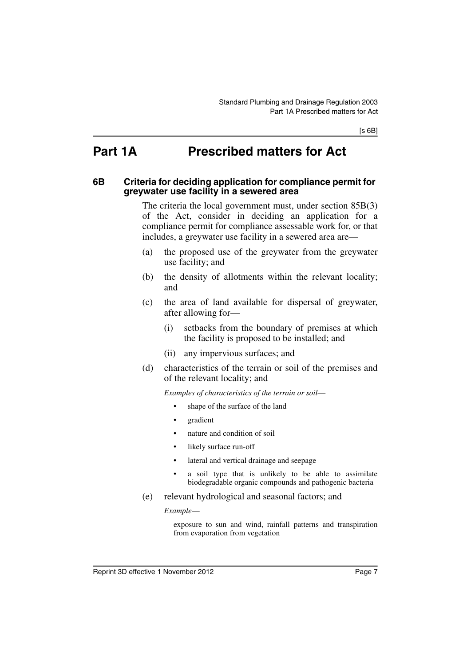## <span id="page-8-0"></span>**Part 1A Prescribed matters for Act**

#### <span id="page-8-1"></span>**6B Criteria for deciding application for compliance permit for greywater use facility in a sewered area**

The criteria the local government must, under section 85B(3) of the Act, consider in deciding an application for a compliance permit for compliance assessable work for, or that includes, a greywater use facility in a sewered area are—

- (a) the proposed use of the greywater from the greywater use facility; and
- (b) the density of allotments within the relevant locality; and
- (c) the area of land available for dispersal of greywater, after allowing for—
	- (i) setbacks from the boundary of premises at which the facility is proposed to be installed; and
	- (ii) any impervious surfaces; and
- (d) characteristics of the terrain or soil of the premises and of the relevant locality; and

*Examples of characteristics of the terrain or soil*—

- shape of the surface of the land
- gradient
- nature and condition of soil
- likely surface run-off
- lateral and vertical drainage and seepage
- a soil type that is unlikely to be able to assimilate biodegradable organic compounds and pathogenic bacteria
- (e) relevant hydrological and seasonal factors; and

*Example*—

exposure to sun and wind, rainfall patterns and transpiration from evaporation from vegetation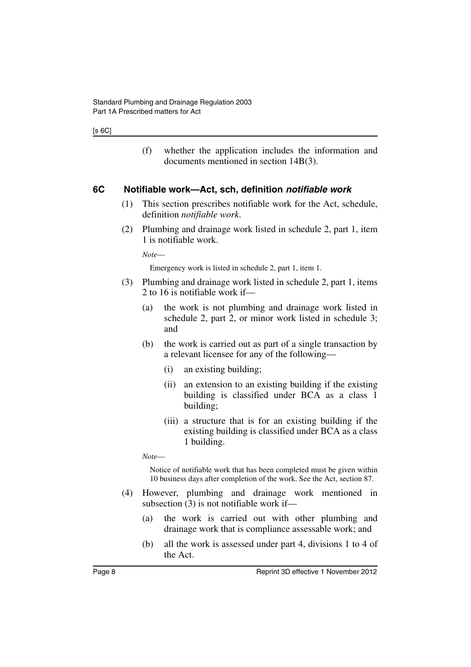#### [s 6C]

(f) whether the application includes the information and documents mentioned in section 14B(3).

#### <span id="page-9-0"></span>**6C Notifiable work—Act, sch, definition** *notifiable work*

- (1) This section prescribes notifiable work for the Act, schedule, definition *notifiable work*.
- (2) Plumbing and drainage work listed in schedule 2, part 1, item 1 is notifiable work.

*Note*—

Emergency work is listed in schedule 2, part 1, item 1.

- (3) Plumbing and drainage work listed in schedule 2, part 1, items 2 to 16 is notifiable work if—
	- (a) the work is not plumbing and drainage work listed in schedule 2, part 2, or minor work listed in schedule 3; and
	- (b) the work is carried out as part of a single transaction by a relevant licensee for any of the following—
		- (i) an existing building;
		- (ii) an extension to an existing building if the existing building is classified under BCA as a class 1 building;
		- (iii) a structure that is for an existing building if the existing building is classified under BCA as a class 1 building.

*Note*—

Notice of notifiable work that has been completed must be given within 10 business days after completion of the work. See the Act, section 87.

- (4) However, plumbing and drainage work mentioned in subsection (3) is not notifiable work if—
	- (a) the work is carried out with other plumbing and drainage work that is compliance assessable work; and
	- (b) all the work is assessed under part 4, divisions 1 to 4 of the Act.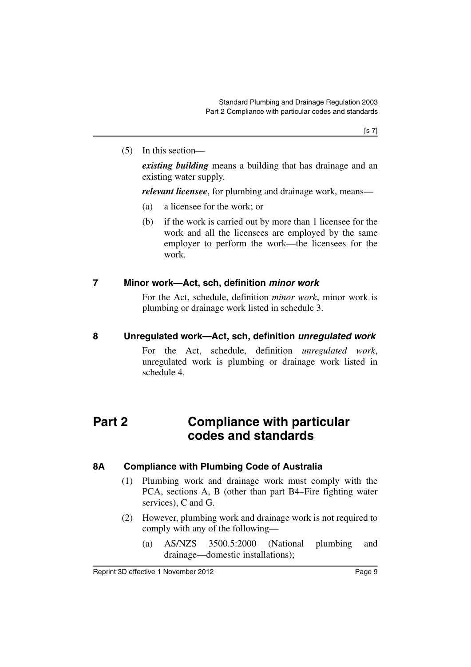(5) In this section—

*existing building* means a building that has drainage and an existing water supply.

*relevant licensee*, for plumbing and drainage work, means—

- (a) a licensee for the work; or
- (b) if the work is carried out by more than 1 licensee for the work and all the licensees are employed by the same employer to perform the work—the licensees for the work.

### <span id="page-10-0"></span>**7 Minor work—Act, sch, definition** *minor work*

For the Act, schedule, definition *minor work*, minor work is plumbing or drainage work listed in schedule 3.

#### <span id="page-10-1"></span>**8 Unregulated work—Act, sch, definition** *unregulated work*

For the Act, schedule, definition *unregulated work*, unregulated work is plumbing or drainage work listed in schedule 4.

## <span id="page-10-2"></span>**Part 2 Compliance with particular codes and standards**

### <span id="page-10-3"></span>**8A Compliance with Plumbing Code of Australia**

- (1) Plumbing work and drainage work must comply with the PCA, sections A, B (other than part B4–Fire fighting water services), C and G.
- (2) However, plumbing work and drainage work is not required to comply with any of the following—
	- (a) AS/NZS 3500.5:2000 (National plumbing and drainage—domestic installations);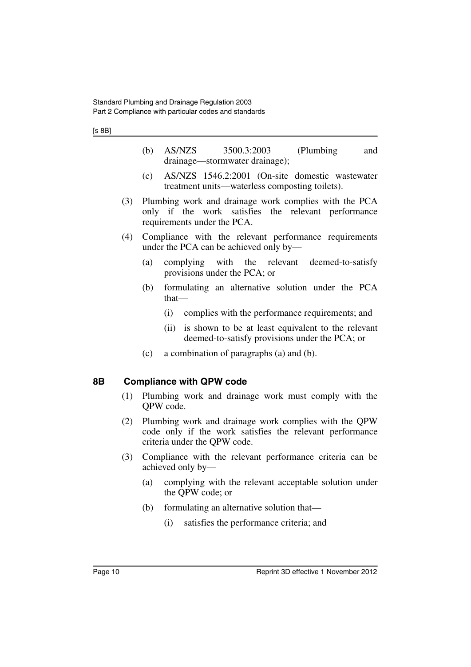#### [s 8B]

- (b) AS/NZS 3500.3:2003 (Plumbing and drainage—stormwater drainage);
- (c) AS/NZS 1546.2:2001 (On-site domestic wastewater treatment units—waterless composting toilets).
- (3) Plumbing work and drainage work complies with the PCA only if the work satisfies the relevant performance requirements under the PCA.
- (4) Compliance with the relevant performance requirements under the PCA can be achieved only by—
	- (a) complying with the relevant deemed-to-satisfy provisions under the PCA; or
	- (b) formulating an alternative solution under the PCA that—
		- (i) complies with the performance requirements; and
		- (ii) is shown to be at least equivalent to the relevant deemed-to-satisfy provisions under the PCA; or
	- (c) a combination of paragraphs (a) and (b).

#### <span id="page-11-0"></span>**8B Compliance with QPW code**

- (1) Plumbing work and drainage work must comply with the QPW code.
- (2) Plumbing work and drainage work complies with the QPW code only if the work satisfies the relevant performance criteria under the QPW code.
- (3) Compliance with the relevant performance criteria can be achieved only by—
	- (a) complying with the relevant acceptable solution under the QPW code; or
	- (b) formulating an alternative solution that—
		- (i) satisfies the performance criteria; and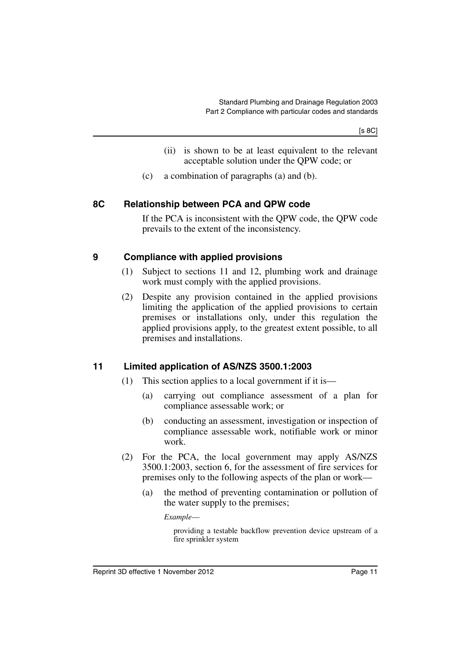[s 8C]

- (ii) is shown to be at least equivalent to the relevant acceptable solution under the QPW code; or
- (c) a combination of paragraphs (a) and (b).

### <span id="page-12-0"></span>**8C Relationship between PCA and QPW code**

If the PCA is inconsistent with the QPW code, the QPW code prevails to the extent of the inconsistency.

#### <span id="page-12-1"></span>**9 Compliance with applied provisions**

- (1) Subject to sections 11 and 12, plumbing work and drainage work must comply with the applied provisions.
- (2) Despite any provision contained in the applied provisions limiting the application of the applied provisions to certain premises or installations only, under this regulation the applied provisions apply, to the greatest extent possible, to all premises and installations.

### <span id="page-12-2"></span>**11 Limited application of AS/NZS 3500.1:2003**

- (1) This section applies to a local government if it is—
	- (a) carrying out compliance assessment of a plan for compliance assessable work; or
	- (b) conducting an assessment, investigation or inspection of compliance assessable work, notifiable work or minor work.
- (2) For the PCA, the local government may apply AS/NZS 3500.1:2003, section 6, for the assessment of fire services for premises only to the following aspects of the plan or work—
	- (a) the method of preventing contamination or pollution of the water supply to the premises;

*Example*—

providing a testable backflow prevention device upstream of a fire sprinkler system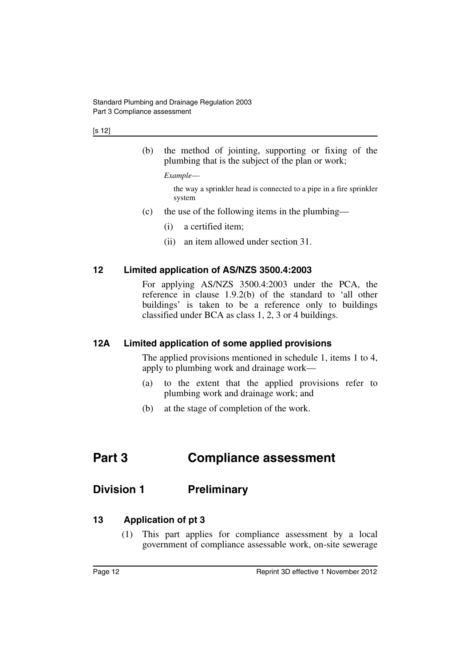(b) the method of jointing, supporting or fixing of the plumbing that is the subject of the plan or work;

*Example*—

the way a sprinkler head is connected to a pipe in a fire sprinkler system

- (c) the use of the following items in the plumbing—
	- (i) a certified item;
	- (ii) an item allowed under section 31.

### <span id="page-13-0"></span>**12 Limited application of AS/NZS 3500.4:2003**

For applying AS/NZS 3500.4:2003 under the PCA, the reference in clause 1.9.2(b) of the standard to 'all other buildings' is taken to be a reference only to buildings classified under BCA as class 1, 2, 3 or 4 buildings.

### <span id="page-13-1"></span>**12A Limited application of some applied provisions**

The applied provisions mentioned in schedule 1, items 1 to 4, apply to plumbing work and drainage work—

- (a) to the extent that the applied provisions refer to plumbing work and drainage work; and
- (b) at the stage of completion of the work.

## <span id="page-13-2"></span>**Part 3 Compliance assessment**

## <span id="page-13-3"></span>**Division 1 Preliminary**

### <span id="page-13-4"></span>**13 Application of pt 3**

(1) This part applies for compliance assessment by a local government of compliance assessable work, on-site sewerage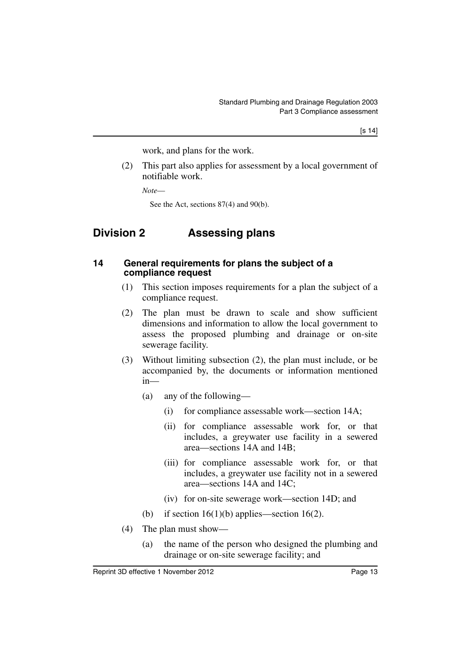work, and plans for the work.

(2) This part also applies for assessment by a local government of notifiable work.

*Note*—

See the Act, sections 87(4) and 90(b).

## <span id="page-14-0"></span>**Division 2 Assessing plans**

#### <span id="page-14-1"></span>**14 General requirements for plans the subject of a compliance request**

- (1) This section imposes requirements for a plan the subject of a compliance request.
- (2) The plan must be drawn to scale and show sufficient dimensions and information to allow the local government to assess the proposed plumbing and drainage or on-site sewerage facility.
- (3) Without limiting subsection (2), the plan must include, or be accompanied by, the documents or information mentioned in—
	- (a) any of the following—
		- (i) for compliance assessable work—section 14A;
		- (ii) for compliance assessable work for, or that includes, a greywater use facility in a sewered area—sections 14A and 14B;
		- (iii) for compliance assessable work for, or that includes, a greywater use facility not in a sewered area—sections 14A and 14C;
		- (iv) for on-site sewerage work—section 14D; and
	- (b) if section  $16(1)(b)$  applies—section  $16(2)$ .
- (4) The plan must show—
	- (a) the name of the person who designed the plumbing and drainage or on-site sewerage facility; and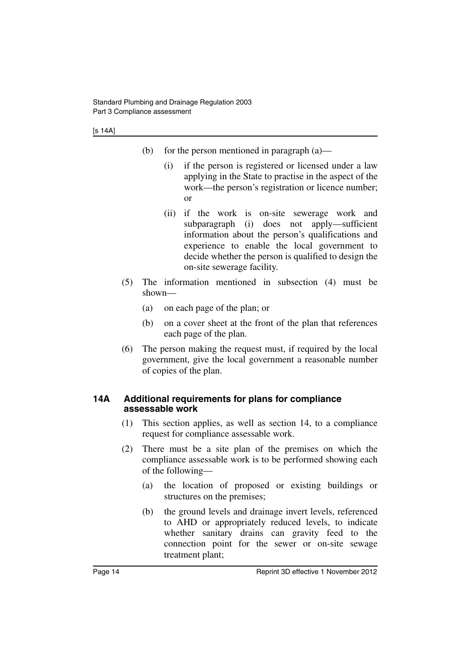- (b) for the person mentioned in paragraph (a)—
	- (i) if the person is registered or licensed under a law applying in the State to practise in the aspect of the work—the person's registration or licence number; or
	- (ii) if the work is on-site sewerage work and subparagraph (i) does not apply—sufficient information about the person's qualifications and experience to enable the local government to decide whether the person is qualified to design the on-site sewerage facility.
- (5) The information mentioned in subsection (4) must be shown—
	- (a) on each page of the plan; or
	- (b) on a cover sheet at the front of the plan that references each page of the plan.
- (6) The person making the request must, if required by the local government, give the local government a reasonable number of copies of the plan.

#### <span id="page-15-0"></span>**14A Additional requirements for plans for compliance assessable work**

- (1) This section applies, as well as section 14, to a compliance request for compliance assessable work.
- (2) There must be a site plan of the premises on which the compliance assessable work is to be performed showing each of the following—
	- (a) the location of proposed or existing buildings or structures on the premises;
	- (b) the ground levels and drainage invert levels, referenced to AHD or appropriately reduced levels, to indicate whether sanitary drains can gravity feed to the connection point for the sewer or on-site sewage treatment plant;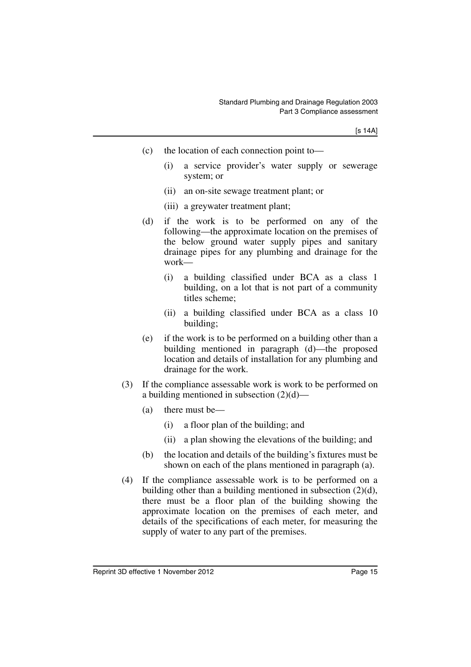- (c) the location of each connection point to—
	- (i) a service provider's water supply or sewerage system; or
	- (ii) an on-site sewage treatment plant; or
	- (iii) a greywater treatment plant;
- (d) if the work is to be performed on any of the following—the approximate location on the premises of the below ground water supply pipes and sanitary drainage pipes for any plumbing and drainage for the work—
	- (i) a building classified under BCA as a class 1 building, on a lot that is not part of a community titles scheme;
	- (ii) a building classified under BCA as a class 10 building;
- (e) if the work is to be performed on a building other than a building mentioned in paragraph (d)—the proposed location and details of installation for any plumbing and drainage for the work.
- (3) If the compliance assessable work is work to be performed on a building mentioned in subsection  $(2)(d)$ —
	- (a) there must be—
		- (i) a floor plan of the building; and
		- (ii) a plan showing the elevations of the building; and
	- (b) the location and details of the building's fixtures must be shown on each of the plans mentioned in paragraph (a).
- (4) If the compliance assessable work is to be performed on a building other than a building mentioned in subsection (2)(d), there must be a floor plan of the building showing the approximate location on the premises of each meter, and details of the specifications of each meter, for measuring the supply of water to any part of the premises.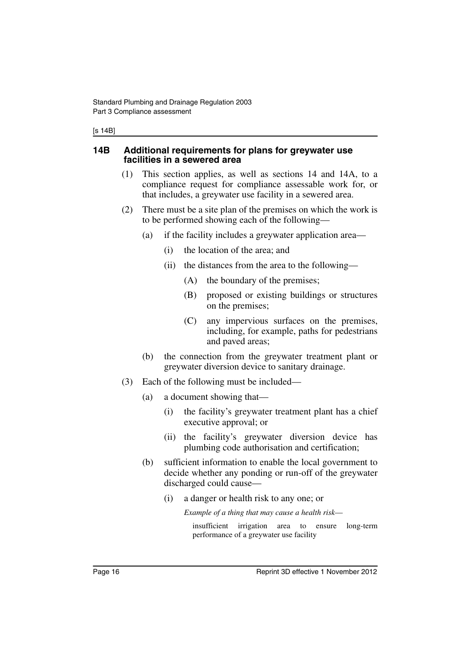#### [s 14B]

#### <span id="page-17-0"></span>**14B Additional requirements for plans for greywater use facilities in a sewered area**

- (1) This section applies, as well as sections 14 and 14A, to a compliance request for compliance assessable work for, or that includes, a greywater use facility in a sewered area.
- (2) There must be a site plan of the premises on which the work is to be performed showing each of the following—
	- (a) if the facility includes a greywater application area—
		- (i) the location of the area; and
		- (ii) the distances from the area to the following—
			- (A) the boundary of the premises;
			- (B) proposed or existing buildings or structures on the premises;
			- (C) any impervious surfaces on the premises, including, for example, paths for pedestrians and paved areas;
	- (b) the connection from the greywater treatment plant or greywater diversion device to sanitary drainage.
- (3) Each of the following must be included—
	- (a) a document showing that—
		- (i) the facility's greywater treatment plant has a chief executive approval; or
		- (ii) the facility's greywater diversion device has plumbing code authorisation and certification;
	- (b) sufficient information to enable the local government to decide whether any ponding or run-off of the greywater discharged could cause—
		- (i) a danger or health risk to any one; or

*Example of a thing that may cause a health risk*—

insufficient irrigation area to ensure long-term performance of a greywater use facility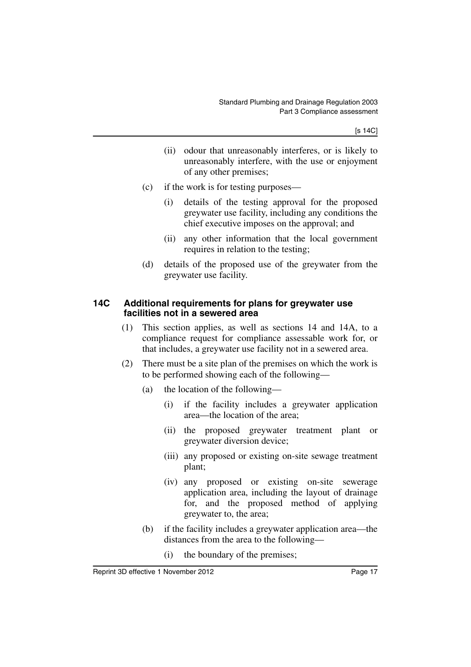- (ii) odour that unreasonably interferes, or is likely to unreasonably interfere, with the use or enjoyment of any other premises;
- (c) if the work is for testing purposes—
	- (i) details of the testing approval for the proposed greywater use facility, including any conditions the chief executive imposes on the approval; and
	- (ii) any other information that the local government requires in relation to the testing;
- (d) details of the proposed use of the greywater from the greywater use facility.

#### <span id="page-18-0"></span>**14C Additional requirements for plans for greywater use facilities not in a sewered area**

- (1) This section applies, as well as sections 14 and 14A, to a compliance request for compliance assessable work for, or that includes, a greywater use facility not in a sewered area.
- (2) There must be a site plan of the premises on which the work is to be performed showing each of the following—
	- (a) the location of the following—
		- (i) if the facility includes a greywater application area—the location of the area;
		- (ii) the proposed greywater treatment plant or greywater diversion device;
		- (iii) any proposed or existing on-site sewage treatment plant;
		- (iv) any proposed or existing on-site sewerage application area, including the layout of drainage for, and the proposed method of applying greywater to, the area;
	- (b) if the facility includes a greywater application area—the distances from the area to the following—
		- (i) the boundary of the premises;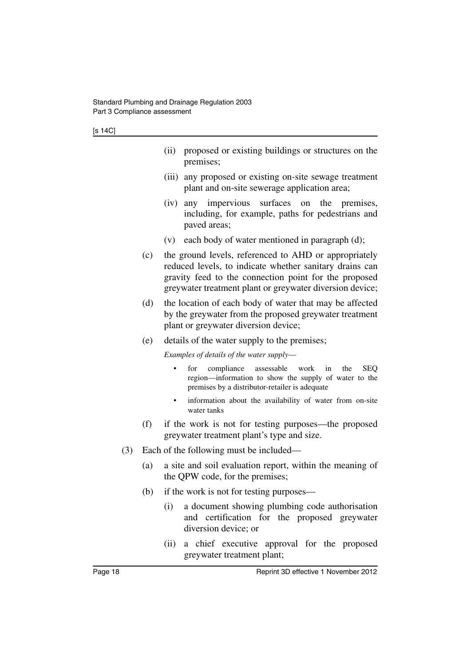- (ii) proposed or existing buildings or structures on the premises;
- (iii) any proposed or existing on-site sewage treatment plant and on-site sewerage application area;
- (iv) any impervious surfaces on the premises, including, for example, paths for pedestrians and paved areas;
- (v) each body of water mentioned in paragraph (d);
- (c) the ground levels, referenced to AHD or appropriately reduced levels, to indicate whether sanitary drains can gravity feed to the connection point for the proposed greywater treatment plant or greywater diversion device;
- (d) the location of each body of water that may be affected by the greywater from the proposed greywater treatment plant or greywater diversion device;
- (e) details of the water supply to the premises;

*Examples of details of the water supply*—

- for compliance assessable work in the SEQ region—information to show the supply of water to the premises by a distributor-retailer is adequate
- information about the availability of water from on-site water tanks
- (f) if the work is not for testing purposes—the proposed greywater treatment plant's type and size.
- (3) Each of the following must be included—
	- (a) a site and soil evaluation report, within the meaning of the QPW code, for the premises;
	- (b) if the work is not for testing purposes—
		- (i) a document showing plumbing code authorisation and certification for the proposed greywater diversion device; or
		- (ii) a chief executive approval for the proposed greywater treatment plant;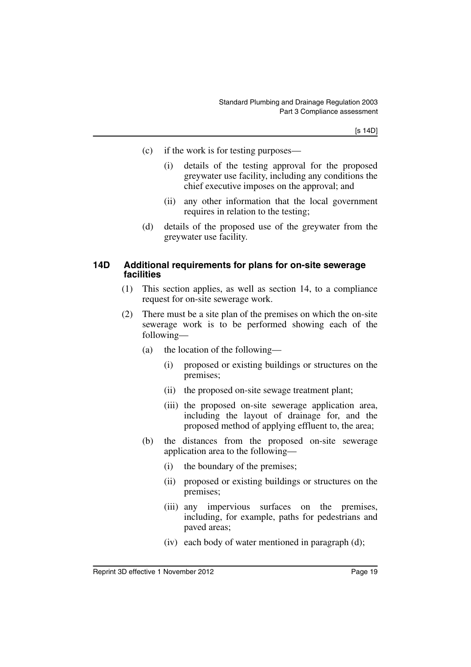- (c) if the work is for testing purposes—
	- (i) details of the testing approval for the proposed greywater use facility, including any conditions the chief executive imposes on the approval; and
	- (ii) any other information that the local government requires in relation to the testing;
- (d) details of the proposed use of the greywater from the greywater use facility.

#### <span id="page-20-0"></span>**14D Additional requirements for plans for on-site sewerage facilities**

- (1) This section applies, as well as section 14, to a compliance request for on-site sewerage work.
- (2) There must be a site plan of the premises on which the on-site sewerage work is to be performed showing each of the following—
	- (a) the location of the following—
		- (i) proposed or existing buildings or structures on the premises;
		- (ii) the proposed on-site sewage treatment plant;
		- (iii) the proposed on-site sewerage application area, including the layout of drainage for, and the proposed method of applying effluent to, the area;
	- (b) the distances from the proposed on-site sewerage application area to the following—
		- (i) the boundary of the premises;
		- (ii) proposed or existing buildings or structures on the premises;
		- (iii) any impervious surfaces on the premises, including, for example, paths for pedestrians and paved areas;
		- (iv) each body of water mentioned in paragraph (d);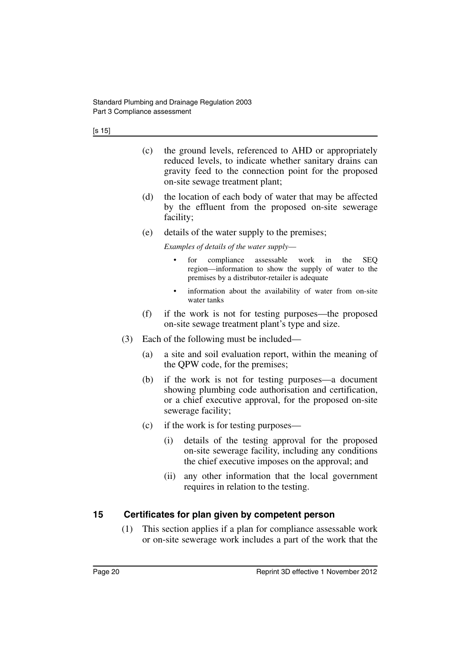- (c) the ground levels, referenced to AHD or appropriately reduced levels, to indicate whether sanitary drains can gravity feed to the connection point for the proposed on-site sewage treatment plant;
- (d) the location of each body of water that may be affected by the effluent from the proposed on-site sewerage facility;
- (e) details of the water supply to the premises;

*Examples of details of the water supply*—

- for compliance assessable work in the SEQ region—information to show the supply of water to the premises by a distributor-retailer is adequate
- information about the availability of water from on-site water tanks
- (f) if the work is not for testing purposes—the proposed on-site sewage treatment plant's type and size.
- (3) Each of the following must be included—
	- (a) a site and soil evaluation report, within the meaning of the QPW code, for the premises;
	- (b) if the work is not for testing purposes—a document showing plumbing code authorisation and certification, or a chief executive approval, for the proposed on-site sewerage facility;
	- (c) if the work is for testing purposes—
		- (i) details of the testing approval for the proposed on-site sewerage facility, including any conditions the chief executive imposes on the approval; and
		- (ii) any other information that the local government requires in relation to the testing.

### <span id="page-21-0"></span>**15 Certificates for plan given by competent person**

(1) This section applies if a plan for compliance assessable work or on-site sewerage work includes a part of the work that the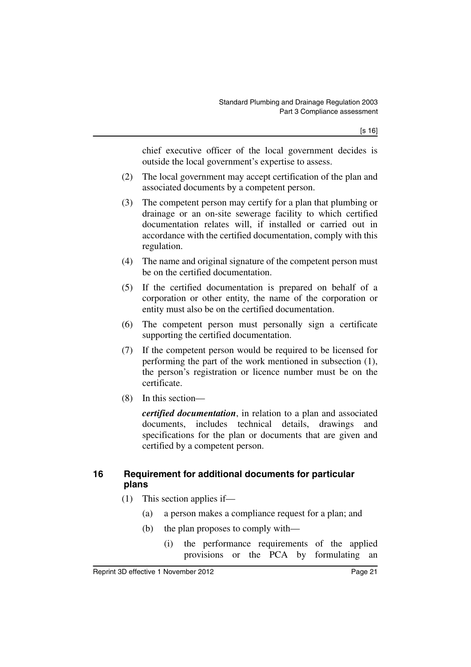chief executive officer of the local government decides is outside the local government's expertise to assess.

- (2) The local government may accept certification of the plan and associated documents by a competent person.
- (3) The competent person may certify for a plan that plumbing or drainage or an on-site sewerage facility to which certified documentation relates will, if installed or carried out in accordance with the certified documentation, comply with this regulation.
- (4) The name and original signature of the competent person must be on the certified documentation.
- (5) If the certified documentation is prepared on behalf of a corporation or other entity, the name of the corporation or entity must also be on the certified documentation.
- (6) The competent person must personally sign a certificate supporting the certified documentation.
- (7) If the competent person would be required to be licensed for performing the part of the work mentioned in subsection (1), the person's registration or licence number must be on the certificate.
- (8) In this section—

*certified documentation*, in relation to a plan and associated documents, includes technical details, drawings and specifications for the plan or documents that are given and certified by a competent person.

### <span id="page-22-0"></span>**16 Requirement for additional documents for particular plans**

- (1) This section applies if—
	- (a) a person makes a compliance request for a plan; and
	- (b) the plan proposes to comply with—
		- (i) the performance requirements of the applied provisions or the PCA by formulating an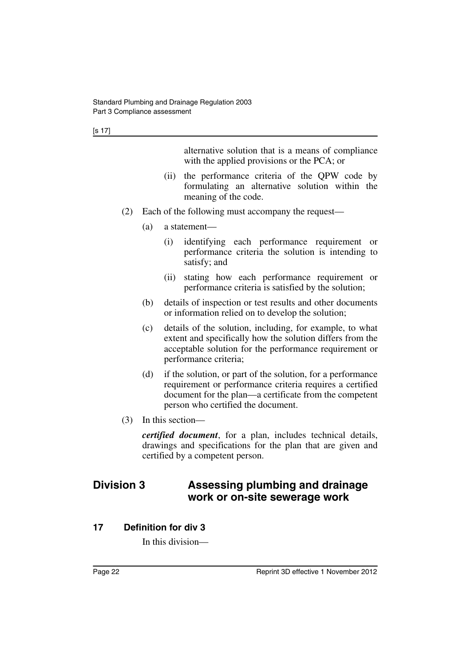alternative solution that is a means of compliance with the applied provisions or the PCA; or

- (ii) the performance criteria of the QPW code by formulating an alternative solution within the meaning of the code.
- (2) Each of the following must accompany the request—
	- (a) a statement—
		- (i) identifying each performance requirement or performance criteria the solution is intending to satisfy; and
		- (ii) stating how each performance requirement or performance criteria is satisfied by the solution;
	- (b) details of inspection or test results and other documents or information relied on to develop the solution;
	- (c) details of the solution, including, for example, to what extent and specifically how the solution differs from the acceptable solution for the performance requirement or performance criteria;
	- (d) if the solution, or part of the solution, for a performance requirement or performance criteria requires a certified document for the plan—a certificate from the competent person who certified the document.
- (3) In this section—

*certified document*, for a plan, includes technical details, drawings and specifications for the plan that are given and certified by a competent person.

## <span id="page-23-0"></span>**Division 3 Assessing plumbing and drainage work or on-site sewerage work**

### <span id="page-23-1"></span>**17 Definition for div 3**

In this division—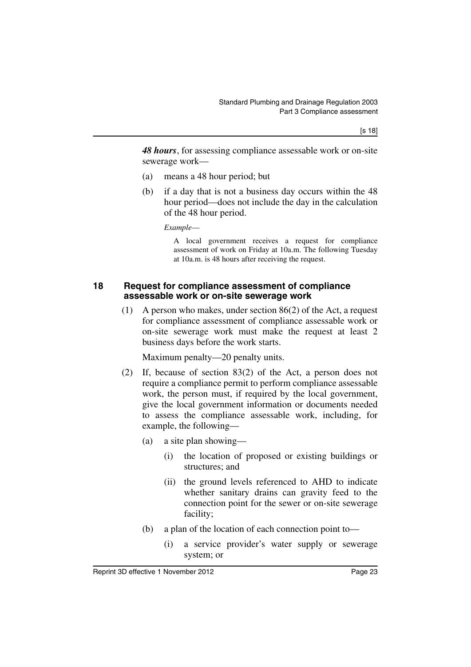*48 hours*, for assessing compliance assessable work or on-site sewerage work—

- (a) means a 48 hour period; but
- (b) if a day that is not a business day occurs within the 48 hour period—does not include the day in the calculation of the 48 hour period.

*Example*—

A local government receives a request for compliance assessment of work on Friday at 10a.m. The following Tuesday at 10a.m. is 48 hours after receiving the request.

#### <span id="page-24-0"></span>**18 Request for compliance assessment of compliance assessable work or on-site sewerage work**

(1) A person who makes, under section 86(2) of the Act, a request for compliance assessment of compliance assessable work or on-site sewerage work must make the request at least 2 business days before the work starts.

Maximum penalty—20 penalty units.

- (2) If, because of section 83(2) of the Act, a person does not require a compliance permit to perform compliance assessable work, the person must, if required by the local government, give the local government information or documents needed to assess the compliance assessable work, including, for example, the following—
	- (a) a site plan showing—
		- (i) the location of proposed or existing buildings or structures; and
		- (ii) the ground levels referenced to AHD to indicate whether sanitary drains can gravity feed to the connection point for the sewer or on-site sewerage facility;
	- (b) a plan of the location of each connection point to—
		- (i) a service provider's water supply or sewerage system; or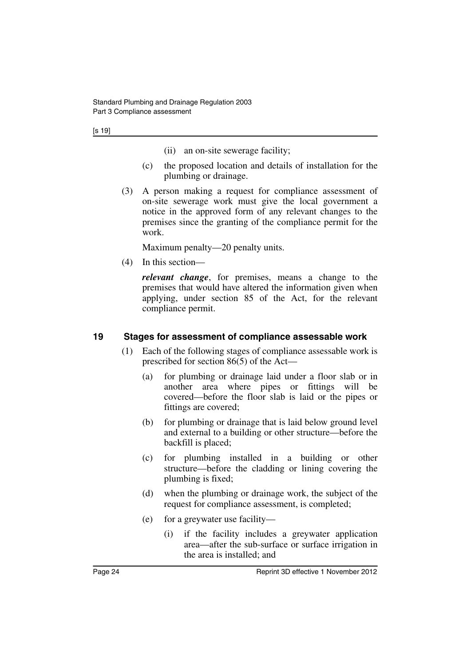- (ii) an on-site sewerage facility;
- (c) the proposed location and details of installation for the plumbing or drainage.
- (3) A person making a request for compliance assessment of on-site sewerage work must give the local government a notice in the approved form of any relevant changes to the premises since the granting of the compliance permit for the work.

Maximum penalty—20 penalty units.

(4) In this section—

*relevant change*, for premises, means a change to the premises that would have altered the information given when applying, under section 85 of the Act, for the relevant compliance permit.

### <span id="page-25-0"></span>**19 Stages for assessment of compliance assessable work**

- (1) Each of the following stages of compliance assessable work is prescribed for section 86(5) of the Act—
	- (a) for plumbing or drainage laid under a floor slab or in another area where pipes or fittings will be covered—before the floor slab is laid or the pipes or fittings are covered;
	- (b) for plumbing or drainage that is laid below ground level and external to a building or other structure—before the backfill is placed;
	- (c) for plumbing installed in a building or other structure—before the cladding or lining covering the plumbing is fixed;
	- (d) when the plumbing or drainage work, the subject of the request for compliance assessment, is completed;
	- (e) for a greywater use facility—
		- (i) if the facility includes a greywater application area—after the sub-surface or surface irrigation in the area is installed; and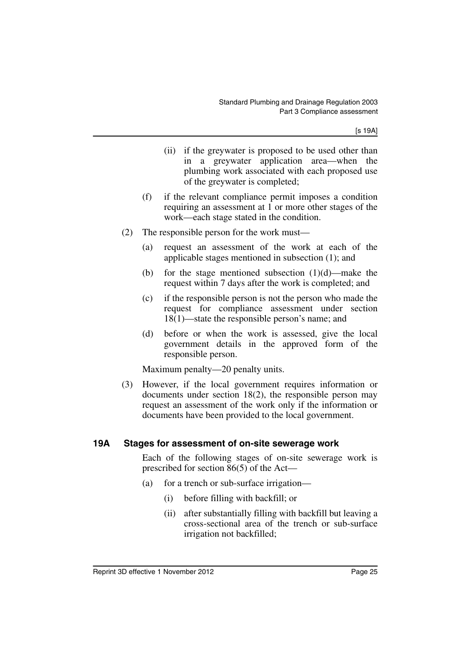- (ii) if the greywater is proposed to be used other than in a greywater application area—when the plumbing work associated with each proposed use of the greywater is completed;
- (f) if the relevant compliance permit imposes a condition requiring an assessment at 1 or more other stages of the work—each stage stated in the condition.
- (2) The responsible person for the work must—
	- (a) request an assessment of the work at each of the applicable stages mentioned in subsection (1); and
	- (b) for the stage mentioned subsection  $(1)(d)$ —make the request within 7 days after the work is completed; and
	- (c) if the responsible person is not the person who made the request for compliance assessment under section 18(1)—state the responsible person's name; and
	- (d) before or when the work is assessed, give the local government details in the approved form of the responsible person.

Maximum penalty—20 penalty units.

(3) However, if the local government requires information or documents under section 18(2), the responsible person may request an assessment of the work only if the information or documents have been provided to the local government.

#### <span id="page-26-0"></span>**19A Stages for assessment of on-site sewerage work**

Each of the following stages of on-site sewerage work is prescribed for section 86(5) of the Act—

- (a) for a trench or sub-surface irrigation—
	- (i) before filling with backfill; or
	- (ii) after substantially filling with backfill but leaving a cross-sectional area of the trench or sub-surface irrigation not backfilled;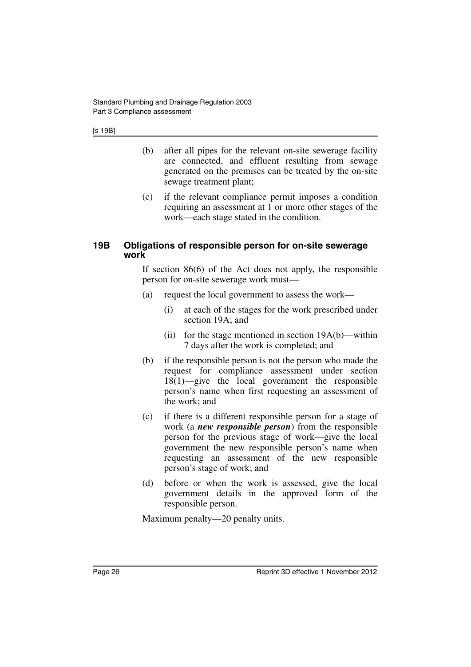- (b) after all pipes for the relevant on-site sewerage facility are connected, and effluent resulting from sewage generated on the premises can be treated by the on-site sewage treatment plant;
- (c) if the relevant compliance permit imposes a condition requiring an assessment at 1 or more other stages of the work—each stage stated in the condition.

#### <span id="page-27-0"></span>**19B Obligations of responsible person for on-site sewerage work**

If section 86(6) of the Act does not apply, the responsible person for on-site sewerage work must—

- (a) request the local government to assess the work—
	- (i) at each of the stages for the work prescribed under section 19A; and
	- (ii) for the stage mentioned in section  $19A(b)$ —within 7 days after the work is completed; and
- (b) if the responsible person is not the person who made the request for compliance assessment under section 18(1)—give the local government the responsible person's name when first requesting an assessment of the work; and
- (c) if there is a different responsible person for a stage of work (a *new responsible person*) from the responsible person for the previous stage of work—give the local government the new responsible person's name when requesting an assessment of the new responsible person's stage of work; and
- (d) before or when the work is assessed, give the local government details in the approved form of the responsible person.

Maximum penalty—20 penalty units.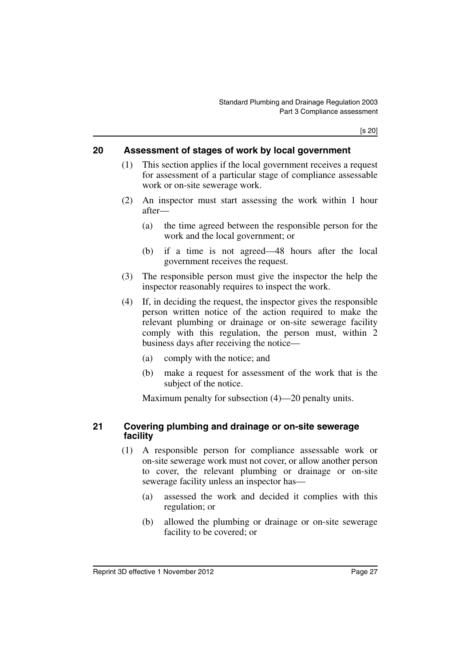[s 20]

#### <span id="page-28-0"></span>**20 Assessment of stages of work by local government**

- (1) This section applies if the local government receives a request for assessment of a particular stage of compliance assessable work or on-site sewerage work.
- (2) An inspector must start assessing the work within 1 hour after—
	- (a) the time agreed between the responsible person for the work and the local government; or
	- (b) if a time is not agreed—48 hours after the local government receives the request.
- (3) The responsible person must give the inspector the help the inspector reasonably requires to inspect the work.
- (4) If, in deciding the request, the inspector gives the responsible person written notice of the action required to make the relevant plumbing or drainage or on-site sewerage facility comply with this regulation, the person must, within 2 business days after receiving the notice—
	- (a) comply with the notice; and
	- (b) make a request for assessment of the work that is the subject of the notice.

Maximum penalty for subsection (4)—20 penalty units.

#### <span id="page-28-1"></span>**21 Covering plumbing and drainage or on-site sewerage facility**

- (1) A responsible person for compliance assessable work or on-site sewerage work must not cover, or allow another person to cover, the relevant plumbing or drainage or on-site sewerage facility unless an inspector has—
	- (a) assessed the work and decided it complies with this regulation; or
	- (b) allowed the plumbing or drainage or on-site sewerage facility to be covered; or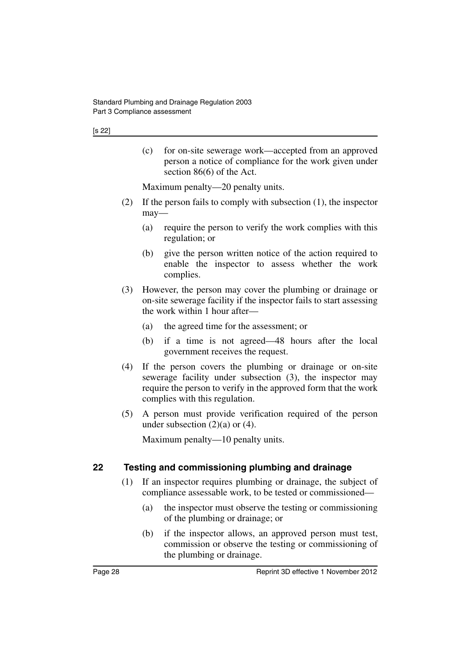(c) for on-site sewerage work—accepted from an approved person a notice of compliance for the work given under section 86(6) of the Act.

Maximum penalty—20 penalty units.

- (2) If the person fails to comply with subsection (1), the inspector may—
	- (a) require the person to verify the work complies with this regulation; or
	- (b) give the person written notice of the action required to enable the inspector to assess whether the work complies.
- (3) However, the person may cover the plumbing or drainage or on-site sewerage facility if the inspector fails to start assessing the work within 1 hour after—
	- (a) the agreed time for the assessment; or
	- (b) if a time is not agreed—48 hours after the local government receives the request.
- (4) If the person covers the plumbing or drainage or on-site sewerage facility under subsection (3), the inspector may require the person to verify in the approved form that the work complies with this regulation.
- (5) A person must provide verification required of the person under subsection  $(2)(a)$  or  $(4)$ .

Maximum penalty—10 penalty units.

## <span id="page-29-0"></span>**22 Testing and commissioning plumbing and drainage**

- (1) If an inspector requires plumbing or drainage, the subject of compliance assessable work, to be tested or commissioned—
	- (a) the inspector must observe the testing or commissioning of the plumbing or drainage; or
	- (b) if the inspector allows, an approved person must test, commission or observe the testing or commissioning of the plumbing or drainage.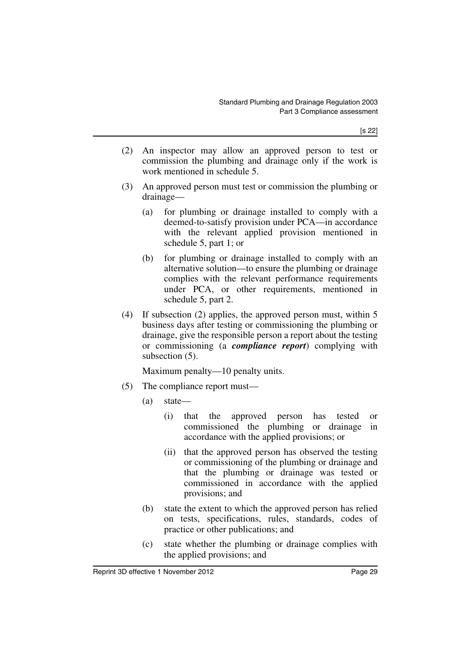- (2) An inspector may allow an approved person to test or commission the plumbing and drainage only if the work is work mentioned in schedule 5.
- (3) An approved person must test or commission the plumbing or drainage—
	- (a) for plumbing or drainage installed to comply with a deemed-to-satisfy provision under PCA—in accordance with the relevant applied provision mentioned in schedule 5, part 1; or
	- (b) for plumbing or drainage installed to comply with an alternative solution—to ensure the plumbing or drainage complies with the relevant performance requirements under PCA, or other requirements, mentioned in schedule 5, part 2.
- (4) If subsection (2) applies, the approved person must, within 5 business days after testing or commissioning the plumbing or drainage, give the responsible person a report about the testing or commissioning (a *compliance report*) complying with subsection (5).

Maximum penalty—10 penalty units.

- (5) The compliance report must—
	- (a) state—
		- (i) that the approved person has tested or commissioned the plumbing or drainage in accordance with the applied provisions; or
		- (ii) that the approved person has observed the testing or commissioning of the plumbing or drainage and that the plumbing or drainage was tested or commissioned in accordance with the applied provisions; and
	- (b) state the extent to which the approved person has relied on tests, specifications, rules, standards, codes of practice or other publications; and
	- (c) state whether the plumbing or drainage complies with the applied provisions; and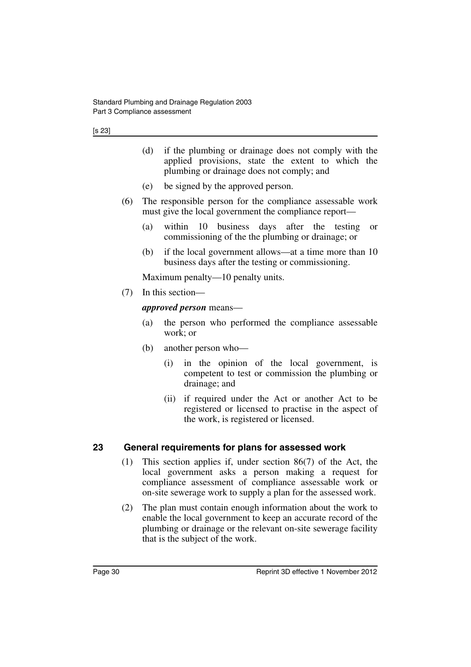|    |                                                                                                                           | (d)                                                                                                                                                                                                                                              |                     | if the plumbing or drainage does not comply with the<br>applied provisions, state the extent to which the<br>plumbing or drainage does not comply; and |  |
|----|---------------------------------------------------------------------------------------------------------------------------|--------------------------------------------------------------------------------------------------------------------------------------------------------------------------------------------------------------------------------------------------|---------------------|--------------------------------------------------------------------------------------------------------------------------------------------------------|--|
|    |                                                                                                                           |                                                                                                                                                                                                                                                  |                     | (e) be signed by the approved person.                                                                                                                  |  |
|    | The responsible person for the compliance assessable work<br>(6)<br>must give the local government the compliance report- |                                                                                                                                                                                                                                                  |                     |                                                                                                                                                        |  |
|    |                                                                                                                           | (a)                                                                                                                                                                                                                                              |                     | within 10 business days after the testing<br><sub>or</sub><br>commissioning of the the plumbing or drainage; or                                        |  |
|    |                                                                                                                           | (b)                                                                                                                                                                                                                                              |                     | if the local government allows—at a time more than 10<br>business days after the testing or commissioning.                                             |  |
|    | Maximum penalty—10 penalty units.                                                                                         |                                                                                                                                                                                                                                                  |                     |                                                                                                                                                        |  |
|    | (7)                                                                                                                       | In this section-                                                                                                                                                                                                                                 |                     |                                                                                                                                                        |  |
|    |                                                                                                                           |                                                                                                                                                                                                                                                  |                     | <i>approved person</i> means—                                                                                                                          |  |
|    |                                                                                                                           | (a)                                                                                                                                                                                                                                              | work; or            | the person who performed the compliance assessable                                                                                                     |  |
|    |                                                                                                                           | (b)                                                                                                                                                                                                                                              | another person who- |                                                                                                                                                        |  |
|    |                                                                                                                           |                                                                                                                                                                                                                                                  | (i)                 | in the opinion of the local government, is<br>competent to test or commission the plumbing or<br>drainage; and                                         |  |
|    |                                                                                                                           |                                                                                                                                                                                                                                                  | (ii)                | if required under the Act or another Act to be<br>registered or licensed to practise in the aspect of<br>the work, is registered or licensed.          |  |
| 23 |                                                                                                                           |                                                                                                                                                                                                                                                  |                     | General requirements for plans for assessed work                                                                                                       |  |
|    | (1)                                                                                                                       | This section applies if, under section $86(7)$ of the Act, the<br>local government asks a person making a request for<br>compliance assessment of compliance assessable work or<br>on-site sewerage work to supply a plan for the assessed work. |                     |                                                                                                                                                        |  |
|    | (2)                                                                                                                       | The plan must contain enough information about the work to                                                                                                                                                                                       |                     |                                                                                                                                                        |  |

<span id="page-31-0"></span>(2) The plan must contain enough information about the work to enable the local government to keep an accurate record of the plumbing or drainage or the relevant on-site sewerage facility that is the subject of the work.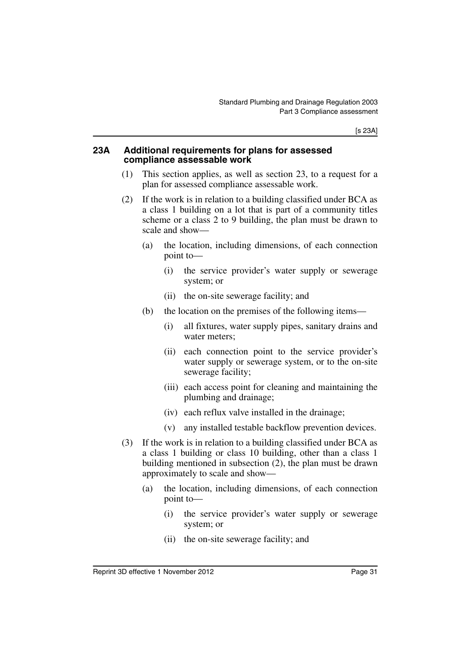[s 23A]

#### <span id="page-32-0"></span>**23A Additional requirements for plans for assessed compliance assessable work**

- (1) This section applies, as well as section 23, to a request for a plan for assessed compliance assessable work.
- (2) If the work is in relation to a building classified under BCA as a class 1 building on a lot that is part of a community titles scheme or a class 2 to 9 building, the plan must be drawn to scale and show—
	- (a) the location, including dimensions, of each connection point to—
		- (i) the service provider's water supply or sewerage system; or
		- (ii) the on-site sewerage facility; and
	- (b) the location on the premises of the following items—
		- (i) all fixtures, water supply pipes, sanitary drains and water meters;
		- (ii) each connection point to the service provider's water supply or sewerage system, or to the on-site sewerage facility;
		- (iii) each access point for cleaning and maintaining the plumbing and drainage;
		- (iv) each reflux valve installed in the drainage;
		- (v) any installed testable backflow prevention devices.
- (3) If the work is in relation to a building classified under BCA as a class 1 building or class 10 building, other than a class 1 building mentioned in subsection (2), the plan must be drawn approximately to scale and show—
	- (a) the location, including dimensions, of each connection point to—
		- (i) the service provider's water supply or sewerage system; or
		- (ii) the on-site sewerage facility; and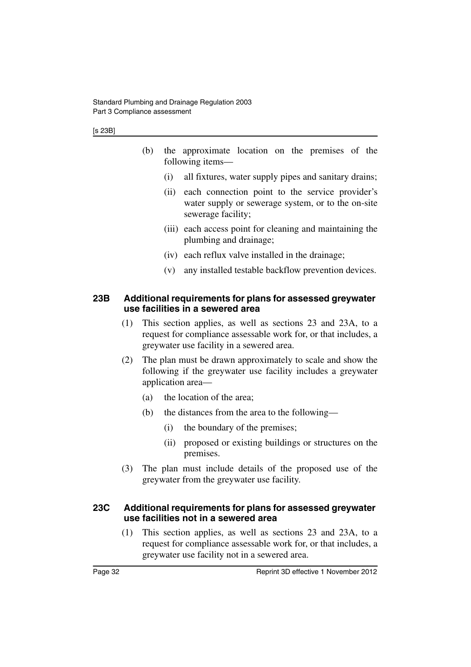- (b) the approximate location on the premises of the following items—
	- (i) all fixtures, water supply pipes and sanitary drains;
	- (ii) each connection point to the service provider's water supply or sewerage system, or to the on-site sewerage facility;
	- (iii) each access point for cleaning and maintaining the plumbing and drainage;
	- (iv) each reflux valve installed in the drainage;
	- (v) any installed testable backflow prevention devices.

#### <span id="page-33-0"></span>**23B Additional requirements for plans for assessed greywater use facilities in a sewered area**

- (1) This section applies, as well as sections 23 and 23A, to a request for compliance assessable work for, or that includes, a greywater use facility in a sewered area.
- (2) The plan must be drawn approximately to scale and show the following if the greywater use facility includes a greywater application area—
	- (a) the location of the area;
	- (b) the distances from the area to the following—
		- (i) the boundary of the premises;
		- (ii) proposed or existing buildings or structures on the premises.
- (3) The plan must include details of the proposed use of the greywater from the greywater use facility.

#### <span id="page-33-1"></span>**23C Additional requirements for plans for assessed greywater use facilities not in a sewered area**

(1) This section applies, as well as sections 23 and 23A, to a request for compliance assessable work for, or that includes, a greywater use facility not in a sewered area.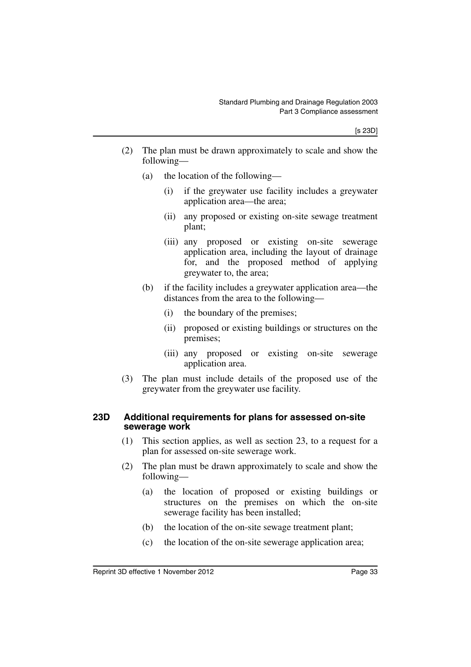- (2) The plan must be drawn approximately to scale and show the following—
	- (a) the location of the following—
		- (i) if the greywater use facility includes a greywater application area—the area;
		- (ii) any proposed or existing on-site sewage treatment plant;
		- (iii) any proposed or existing on-site sewerage application area, including the layout of drainage for, and the proposed method of applying greywater to, the area;
	- (b) if the facility includes a greywater application area—the distances from the area to the following—
		- (i) the boundary of the premises;
		- (ii) proposed or existing buildings or structures on the premises;
		- (iii) any proposed or existing on-site sewerage application area.
- (3) The plan must include details of the proposed use of the greywater from the greywater use facility.

#### <span id="page-34-0"></span>**23D Additional requirements for plans for assessed on-site sewerage work**

- (1) This section applies, as well as section 23, to a request for a plan for assessed on-site sewerage work.
- (2) The plan must be drawn approximately to scale and show the following—
	- (a) the location of proposed or existing buildings or structures on the premises on which the on-site sewerage facility has been installed;
	- (b) the location of the on-site sewage treatment plant;
	- (c) the location of the on-site sewerage application area;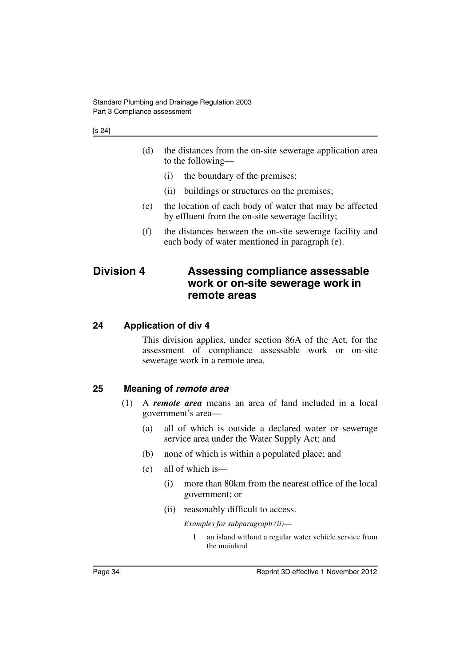- (d) the distances from the on-site sewerage application area to the following—
	- (i) the boundary of the premises;
	- (ii) buildings or structures on the premises;
- (e) the location of each body of water that may be affected by effluent from the on-site sewerage facility;
- (f) the distances between the on-site sewerage facility and each body of water mentioned in paragraph (e).

## <span id="page-35-0"></span>**Division 4 Assessing compliance assessable work or on-site sewerage work in remote areas**

### <span id="page-35-1"></span>**24 Application of div 4**

This division applies, under section 86A of the Act, for the assessment of compliance assessable work or on-site sewerage work in a remote area.

#### <span id="page-35-2"></span>**25 Meaning of** *remote area*

- (1) A *remote area* means an area of land included in a local government's area—
	- (a) all of which is outside a declared water or sewerage service area under the Water Supply Act; and
	- (b) none of which is within a populated place; and
	- (c) all of which is—
		- (i) more than 80km from the nearest office of the local government; or
		- (ii) reasonably difficult to access.

*Examples for subparagraph (ii)*—

1 an island without a regular water vehicle service from the mainland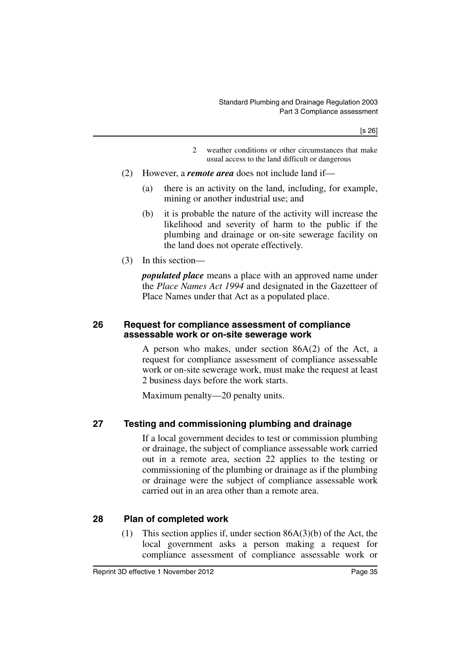[s 26]

- 2 weather conditions or other circumstances that make usual access to the land difficult or dangerous
- (2) However, a *remote area* does not include land if—
	- (a) there is an activity on the land, including, for example, mining or another industrial use; and
	- (b) it is probable the nature of the activity will increase the likelihood and severity of harm to the public if the plumbing and drainage or on-site sewerage facility on the land does not operate effectively.
- (3) In this section—

*populated place* means a place with an approved name under the *Place Names Act 1994* and designated in the Gazetteer of Place Names under that Act as a populated place.

#### **26 Request for compliance assessment of compliance assessable work or on-site sewerage work**

A person who makes, under section 86A(2) of the Act, a request for compliance assessment of compliance assessable work or on-site sewerage work, must make the request at least 2 business days before the work starts.

Maximum penalty—20 penalty units.

### **27 Testing and commissioning plumbing and drainage**

If a local government decides to test or commission plumbing or drainage, the subject of compliance assessable work carried out in a remote area, section 22 applies to the testing or commissioning of the plumbing or drainage as if the plumbing or drainage were the subject of compliance assessable work carried out in an area other than a remote area.

### **28 Plan of completed work**

(1) This section applies if, under section  $86A(3)(b)$  of the Act, the local government asks a person making a request for compliance assessment of compliance assessable work or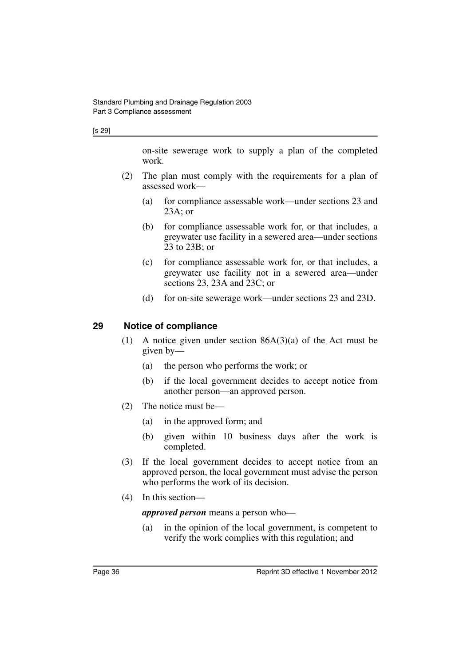#### [s 29]

on-site sewerage work to supply a plan of the completed work.

- (2) The plan must comply with the requirements for a plan of assessed work—
	- (a) for compliance assessable work—under sections 23 and 23A; or
	- (b) for compliance assessable work for, or that includes, a greywater use facility in a sewered area—under sections 23 to 23B; or
	- (c) for compliance assessable work for, or that includes, a greywater use facility not in a sewered area—under sections 23, 23A and 23C; or
	- (d) for on-site sewerage work—under sections 23 and 23D.

#### **29 Notice of compliance**

- (1) A notice given under section 86A(3)(a) of the Act must be given by—
	- (a) the person who performs the work; or
	- (b) if the local government decides to accept notice from another person—an approved person.
- (2) The notice must be—
	- (a) in the approved form; and
	- (b) given within 10 business days after the work is completed.
- (3) If the local government decides to accept notice from an approved person, the local government must advise the person who performs the work of its decision.
- (4) In this section—

*approved person* means a person who—

(a) in the opinion of the local government, is competent to verify the work complies with this regulation; and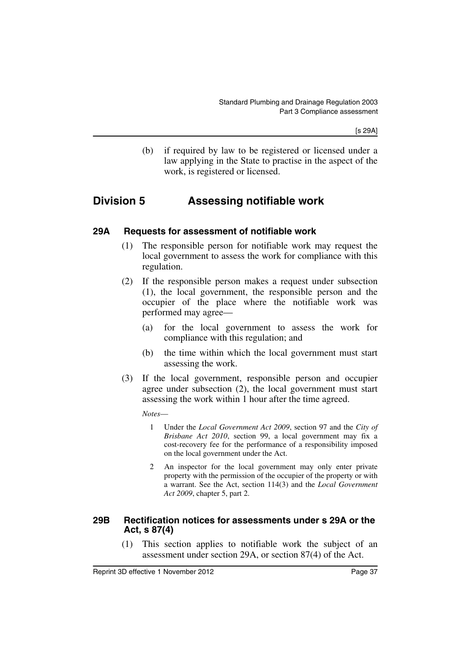[s 29A]

(b) if required by law to be registered or licensed under a law applying in the State to practise in the aspect of the work, is registered or licensed.

### **Division 5 Assessing notifiable work**

#### **29A Requests for assessment of notifiable work**

- (1) The responsible person for notifiable work may request the local government to assess the work for compliance with this regulation.
- (2) If the responsible person makes a request under subsection (1), the local government, the responsible person and the occupier of the place where the notifiable work was performed may agree—
	- (a) for the local government to assess the work for compliance with this regulation; and
	- (b) the time within which the local government must start assessing the work.
- (3) If the local government, responsible person and occupier agree under subsection (2), the local government must start assessing the work within 1 hour after the time agreed.

*Notes*—

- 1 Under the *Local Government Act 2009*, section 97 and the *City of Brisbane Act 2010*, section 99, a local government may fix a cost-recovery fee for the performance of a responsibility imposed on the local government under the Act.
- 2 An inspector for the local government may only enter private property with the permission of the occupier of the property or with a warrant. See the Act, section 114(3) and the *Local Government Act 2009*, chapter 5, part 2.

#### **29B Rectification notices for assessments under s 29A or the Act, s 87(4)**

(1) This section applies to notifiable work the subject of an assessment under section 29A, or section 87(4) of the Act.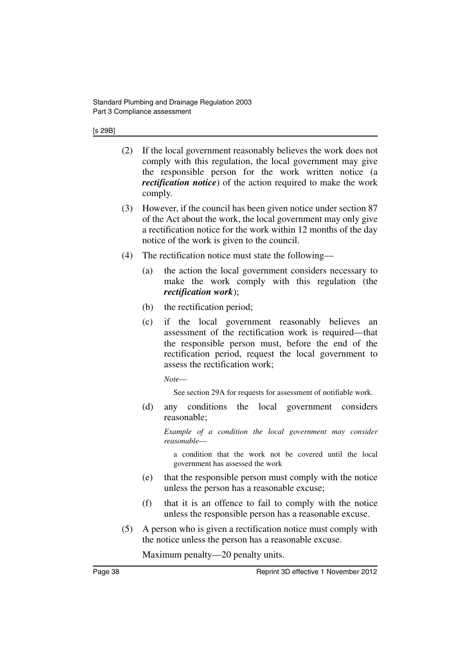#### [s 29B]

- (2) If the local government reasonably believes the work does not comply with this regulation, the local government may give the responsible person for the work written notice (a *rectification notice*) of the action required to make the work comply.
- (3) However, if the council has been given notice under section 87 of the Act about the work, the local government may only give a rectification notice for the work within 12 months of the day notice of the work is given to the council.
- (4) The rectification notice must state the following—
	- (a) the action the local government considers necessary to make the work comply with this regulation (the *rectification work*);
	- (b) the rectification period;
	- (c) if the local government reasonably believes an assessment of the rectification work is required—that the responsible person must, before the end of the rectification period, request the local government to assess the rectification work;

*Note*—

See section 29A for requests for assessment of notifiable work.

(d) any conditions the local government considers reasonable;

*Example of a condition the local government may consider reasonable*—

a condition that the work not be covered until the local government has assessed the work

- (e) that the responsible person must comply with the notice unless the person has a reasonable excuse;
- (f) that it is an offence to fail to comply with the notice unless the responsible person has a reasonable excuse.
- (5) A person who is given a rectification notice must comply with the notice unless the person has a reasonable excuse.

Maximum penalty—20 penalty units.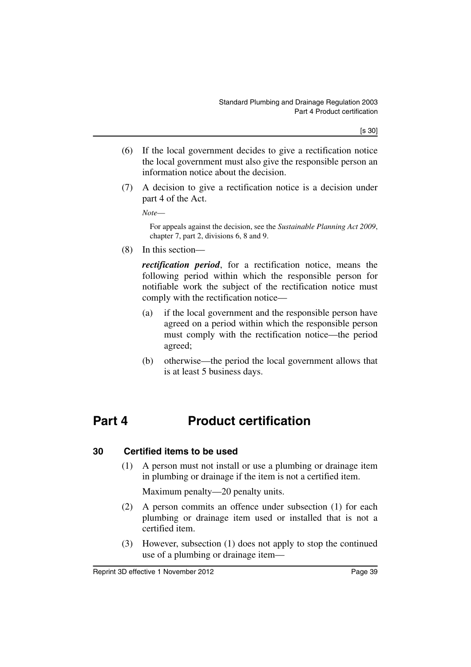- (6) If the local government decides to give a rectification notice the local government must also give the responsible person an information notice about the decision.
- (7) A decision to give a rectification notice is a decision under part 4 of the Act.

*Note*—

For appeals against the decision, see the *Sustainable Planning Act 2009*, chapter 7, part 2, divisions 6, 8 and 9.

(8) In this section—

*rectification period*, for a rectification notice, means the following period within which the responsible person for notifiable work the subject of the rectification notice must comply with the rectification notice—

- (a) if the local government and the responsible person have agreed on a period within which the responsible person must comply with the rectification notice—the period agreed;
- (b) otherwise—the period the local government allows that is at least 5 business days.

# **Part 4 Product certification**

### **30 Certified items to be used**

(1) A person must not install or use a plumbing or drainage item in plumbing or drainage if the item is not a certified item.

Maximum penalty—20 penalty units.

- (2) A person commits an offence under subsection (1) for each plumbing or drainage item used or installed that is not a certified item.
- (3) However, subsection (1) does not apply to stop the continued use of a plumbing or drainage item—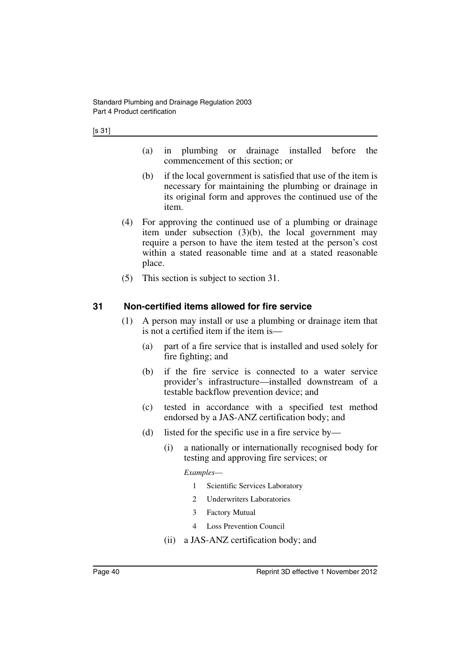- (a) in plumbing or drainage installed before the commencement of this section; or
- (b) if the local government is satisfied that use of the item is necessary for maintaining the plumbing or drainage in its original form and approves the continued use of the item.
- (4) For approving the continued use of a plumbing or drainage item under subsection (3)(b), the local government may require a person to have the item tested at the person's cost within a stated reasonable time and at a stated reasonable place.
- (5) This section is subject to section 31.

#### **31 Non-certified items allowed for fire service**

- (1) A person may install or use a plumbing or drainage item that is not a certified item if the item is—
	- (a) part of a fire service that is installed and used solely for fire fighting; and
	- (b) if the fire service is connected to a water service provider's infrastructure—installed downstream of a testable backflow prevention device; and
	- (c) tested in accordance with a specified test method endorsed by a JAS-ANZ certification body; and
	- (d) listed for the specific use in a fire service by—
		- (i) a nationally or internationally recognised body for testing and approving fire services; or

*Examples*—

- 1 Scientific Services Laboratory
- 2 Underwriters Laboratories
- 3 Factory Mutual
- 4 Loss Prevention Council
- (ii) a JAS-ANZ certification body; and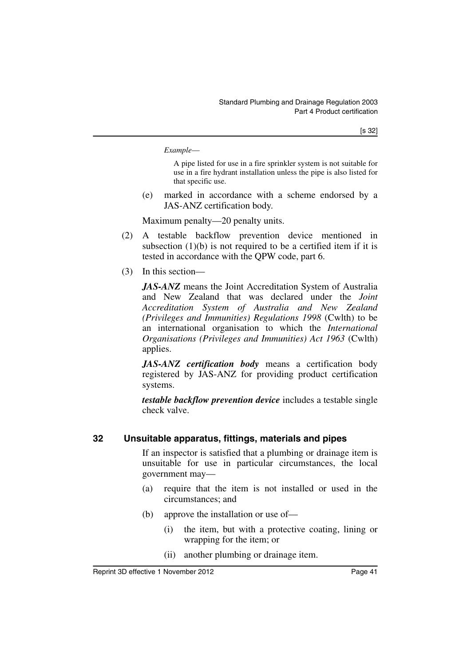*Example*—

A pipe listed for use in a fire sprinkler system is not suitable for use in a fire hydrant installation unless the pipe is also listed for that specific use.

(e) marked in accordance with a scheme endorsed by a JAS-ANZ certification body.

Maximum penalty—20 penalty units.

- (2) A testable backflow prevention device mentioned in subsection  $(1)(b)$  is not required to be a certified item if it is tested in accordance with the QPW code, part 6.
- (3) In this section—

*JAS-ANZ* means the Joint Accreditation System of Australia and New Zealand that was declared under the *Joint Accreditation System of Australia and New Zealand (Privileges and Immunities) Regulations 1998* (Cwlth) to be an international organisation to which the *International Organisations (Privileges and Immunities) Act 1963* (Cwlth) applies.

*JAS-ANZ certification body* means a certification body registered by JAS-ANZ for providing product certification systems.

*testable backflow prevention device* includes a testable single check valve.

### **32 Unsuitable apparatus, fittings, materials and pipes**

If an inspector is satisfied that a plumbing or drainage item is unsuitable for use in particular circumstances, the local government may—

- (a) require that the item is not installed or used in the circumstances; and
- (b) approve the installation or use of—
	- (i) the item, but with a protective coating, lining or wrapping for the item; or
	- (ii) another plumbing or drainage item.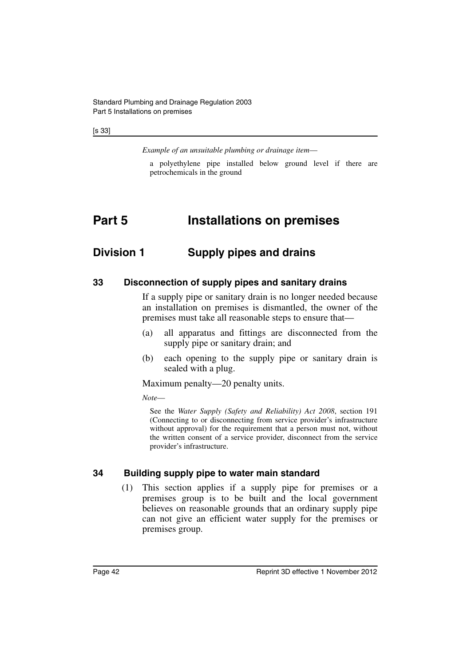[s 33]

*Example of an unsuitable plumbing or drainage item*—

a polyethylene pipe installed below ground level if there are petrochemicals in the ground

## **Part 5 Installations on premises**

### **Division 1 Supply pipes and drains**

#### **33 Disconnection of supply pipes and sanitary drains**

If a supply pipe or sanitary drain is no longer needed because an installation on premises is dismantled, the owner of the premises must take all reasonable steps to ensure that—

- (a) all apparatus and fittings are disconnected from the supply pipe or sanitary drain; and
- (b) each opening to the supply pipe or sanitary drain is sealed with a plug.

Maximum penalty—20 penalty units.

*Note*—

See the *Water Supply (Safety and Reliability) Act 2008*, section 191 (Connecting to or disconnecting from service provider's infrastructure without approval) for the requirement that a person must not, without the written consent of a service provider, disconnect from the service provider's infrastructure.

#### **34 Building supply pipe to water main standard**

(1) This section applies if a supply pipe for premises or a premises group is to be built and the local government believes on reasonable grounds that an ordinary supply pipe can not give an efficient water supply for the premises or premises group.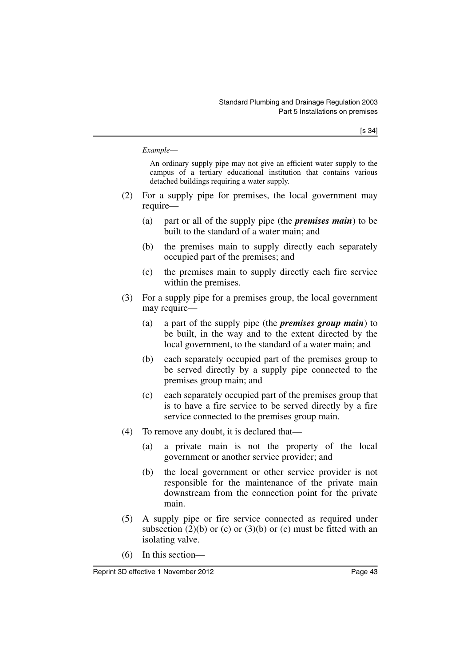#### *Example*—

An ordinary supply pipe may not give an efficient water supply to the campus of a tertiary educational institution that contains various detached buildings requiring a water supply.

- (2) For a supply pipe for premises, the local government may require—
	- (a) part or all of the supply pipe (the *premises main*) to be built to the standard of a water main; and
	- (b) the premises main to supply directly each separately occupied part of the premises; and
	- (c) the premises main to supply directly each fire service within the premises.
- (3) For a supply pipe for a premises group, the local government may require—
	- (a) a part of the supply pipe (the *premises group main*) to be built, in the way and to the extent directed by the local government, to the standard of a water main; and
	- (b) each separately occupied part of the premises group to be served directly by a supply pipe connected to the premises group main; and
	- (c) each separately occupied part of the premises group that is to have a fire service to be served directly by a fire service connected to the premises group main.
- (4) To remove any doubt, it is declared that—
	- (a) a private main is not the property of the local government or another service provider; and
	- (b) the local government or other service provider is not responsible for the maintenance of the private main downstream from the connection point for the private main.
- (5) A supply pipe or fire service connected as required under subsection  $(2)(b)$  or  $(c)$  or  $(3)(b)$  or  $(c)$  must be fitted with an isolating valve.
- (6) In this section—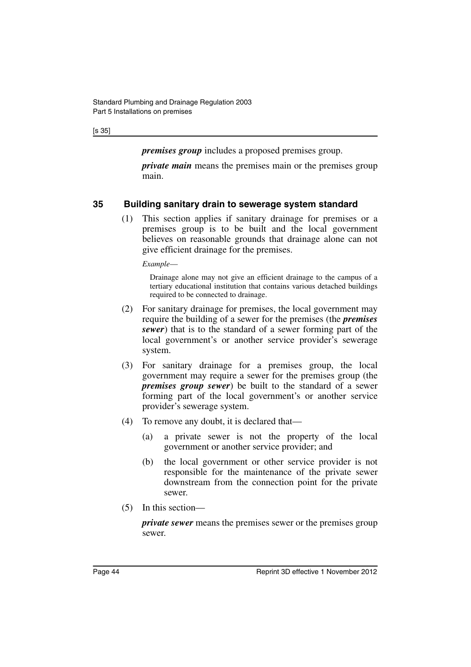[s 35]

*premises group* includes a proposed premises group.

*private main* means the premises main or the premises group main.

### **35 Building sanitary drain to sewerage system standard**

(1) This section applies if sanitary drainage for premises or a premises group is to be built and the local government believes on reasonable grounds that drainage alone can not give efficient drainage for the premises.

*Example*—

Drainage alone may not give an efficient drainage to the campus of a tertiary educational institution that contains various detached buildings required to be connected to drainage.

- (2) For sanitary drainage for premises, the local government may require the building of a sewer for the premises (the *premises sewer*) that is to the standard of a sewer forming part of the local government's or another service provider's sewerage system.
- (3) For sanitary drainage for a premises group, the local government may require a sewer for the premises group (the *premises group sewer*) be built to the standard of a sewer forming part of the local government's or another service provider's sewerage system.
- (4) To remove any doubt, it is declared that—
	- (a) a private sewer is not the property of the local government or another service provider; and
	- (b) the local government or other service provider is not responsible for the maintenance of the private sewer downstream from the connection point for the private sewer.
- (5) In this section—

*private sewer* means the premises sewer or the premises group sewer.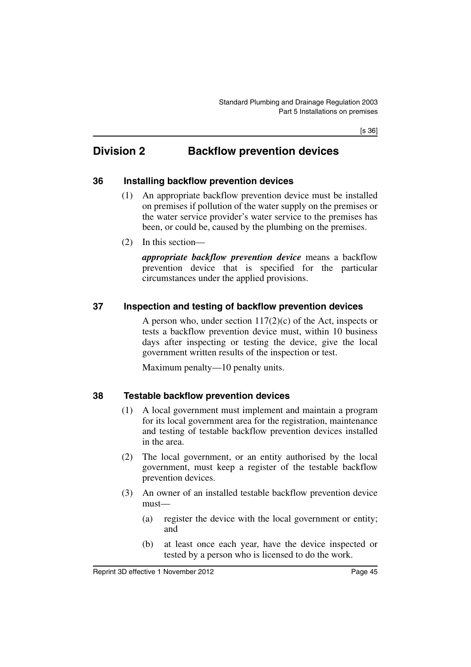[s 36]

## **Division 2 Backflow prevention devices**

#### **36 Installing backflow prevention devices**

- (1) An appropriate backflow prevention device must be installed on premises if pollution of the water supply on the premises or the water service provider's water service to the premises has been, or could be, caused by the plumbing on the premises.
- (2) In this section—

*appropriate backflow prevention device* means a backflow prevention device that is specified for the particular circumstances under the applied provisions.

### **37 Inspection and testing of backflow prevention devices**

A person who, under section  $117(2)(c)$  of the Act, inspects or tests a backflow prevention device must, within 10 business days after inspecting or testing the device, give the local government written results of the inspection or test.

Maximum penalty—10 penalty units.

#### **38 Testable backflow prevention devices**

- (1) A local government must implement and maintain a program for its local government area for the registration, maintenance and testing of testable backflow prevention devices installed in the area.
- (2) The local government, or an entity authorised by the local government, must keep a register of the testable backflow prevention devices.
- (3) An owner of an installed testable backflow prevention device must—
	- (a) register the device with the local government or entity; and
	- (b) at least once each year, have the device inspected or tested by a person who is licensed to do the work.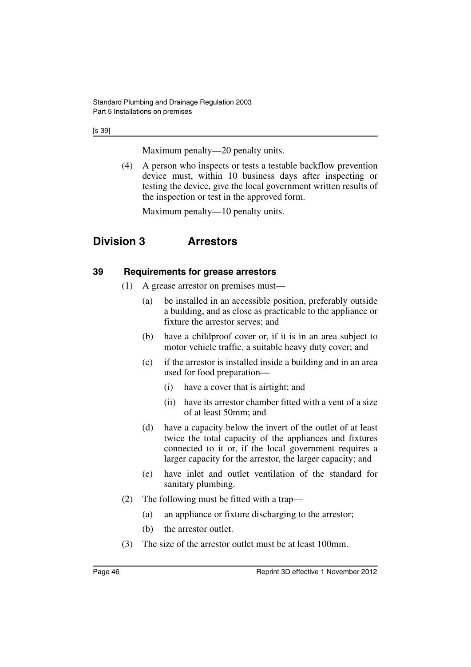[s 39]

Maximum penalty—20 penalty units.

(4) A person who inspects or tests a testable backflow prevention device must, within 10 business days after inspecting or testing the device, give the local government written results of the inspection or test in the approved form.

Maximum penalty—10 penalty units.

## **Division 3 Arrestors**

### **39 Requirements for grease arrestors**

- (1) A grease arrestor on premises must—
	- (a) be installed in an accessible position, preferably outside a building, and as close as practicable to the appliance or fixture the arrestor serves; and
	- (b) have a childproof cover or, if it is in an area subject to motor vehicle traffic, a suitable heavy duty cover; and
	- (c) if the arrestor is installed inside a building and in an area used for food preparation—
		- (i) have a cover that is airtight; and
		- (ii) have its arrestor chamber fitted with a vent of a size of at least 50mm; and
	- (d) have a capacity below the invert of the outlet of at least twice the total capacity of the appliances and fixtures connected to it or, if the local government requires a larger capacity for the arrestor, the larger capacity; and
	- (e) have inlet and outlet ventilation of the standard for sanitary plumbing.
- (2) The following must be fitted with a trap—
	- (a) an appliance or fixture discharging to the arrestor;
	- (b) the arrestor outlet.
- (3) The size of the arrestor outlet must be at least 100mm.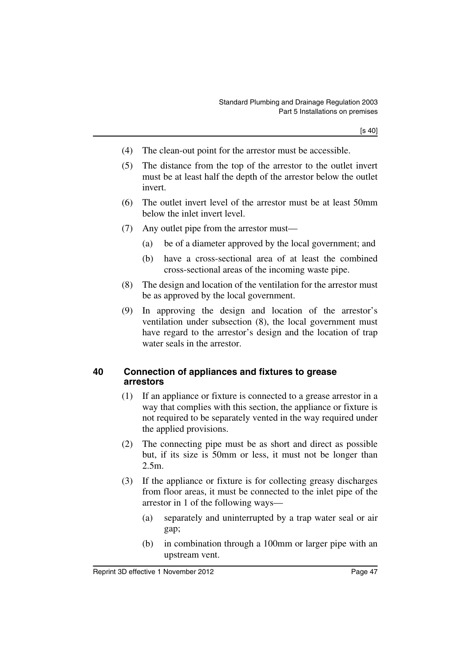- (4) The clean-out point for the arrestor must be accessible.
- (5) The distance from the top of the arrestor to the outlet invert must be at least half the depth of the arrestor below the outlet invert.
- (6) The outlet invert level of the arrestor must be at least 50mm below the inlet invert level.
- (7) Any outlet pipe from the arrestor must—
	- (a) be of a diameter approved by the local government; and
	- (b) have a cross-sectional area of at least the combined cross-sectional areas of the incoming waste pipe.
- (8) The design and location of the ventilation for the arrestor must be as approved by the local government.
- (9) In approving the design and location of the arrestor's ventilation under subsection (8), the local government must have regard to the arrestor's design and the location of trap water seals in the arrestor.

#### **40 Connection of appliances and fixtures to grease arrestors**

- (1) If an appliance or fixture is connected to a grease arrestor in a way that complies with this section, the appliance or fixture is not required to be separately vented in the way required under the applied provisions.
- (2) The connecting pipe must be as short and direct as possible but, if its size is 50mm or less, it must not be longer than 2.5m.
- (3) If the appliance or fixture is for collecting greasy discharges from floor areas, it must be connected to the inlet pipe of the arrestor in 1 of the following ways—
	- (a) separately and uninterrupted by a trap water seal or air gap;
	- (b) in combination through a 100mm or larger pipe with an upstream vent.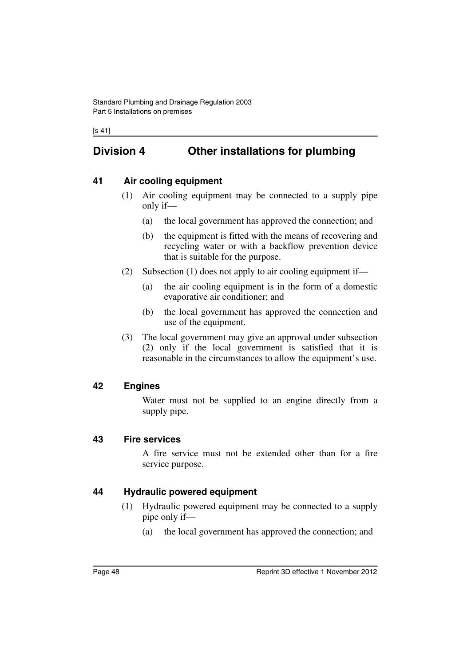[s 41]

## **Division 4 Other installations for plumbing**

### **41 Air cooling equipment**

- (1) Air cooling equipment may be connected to a supply pipe only if—
	- (a) the local government has approved the connection; and
	- (b) the equipment is fitted with the means of recovering and recycling water or with a backflow prevention device that is suitable for the purpose.
- (2) Subsection (1) does not apply to air cooling equipment if—
	- (a) the air cooling equipment is in the form of a domestic evaporative air conditioner; and
	- (b) the local government has approved the connection and use of the equipment.
- (3) The local government may give an approval under subsection (2) only if the local government is satisfied that it is reasonable in the circumstances to allow the equipment's use.

### **42 Engines**

Water must not be supplied to an engine directly from a supply pipe.

### **43 Fire services**

A fire service must not be extended other than for a fire service purpose.

### **44 Hydraulic powered equipment**

- (1) Hydraulic powered equipment may be connected to a supply pipe only if—
	- (a) the local government has approved the connection; and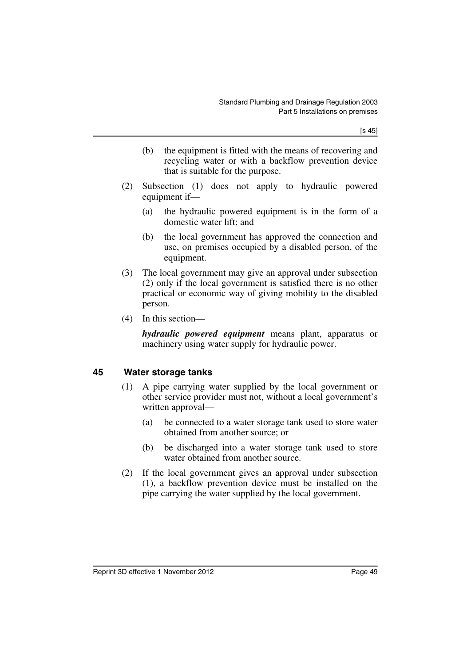[s 45]

- (b) the equipment is fitted with the means of recovering and recycling water or with a backflow prevention device that is suitable for the purpose.
- (2) Subsection (1) does not apply to hydraulic powered equipment if—
	- (a) the hydraulic powered equipment is in the form of a domestic water lift; and
	- (b) the local government has approved the connection and use, on premises occupied by a disabled person, of the equipment.
- (3) The local government may give an approval under subsection (2) only if the local government is satisfied there is no other practical or economic way of giving mobility to the disabled person.
- (4) In this section—

*hydraulic powered equipment* means plant, apparatus or machinery using water supply for hydraulic power.

#### **45 Water storage tanks**

- (1) A pipe carrying water supplied by the local government or other service provider must not, without a local government's written approval—
	- (a) be connected to a water storage tank used to store water obtained from another source; or
	- (b) be discharged into a water storage tank used to store water obtained from another source.
- (2) If the local government gives an approval under subsection (1), a backflow prevention device must be installed on the pipe carrying the water supplied by the local government.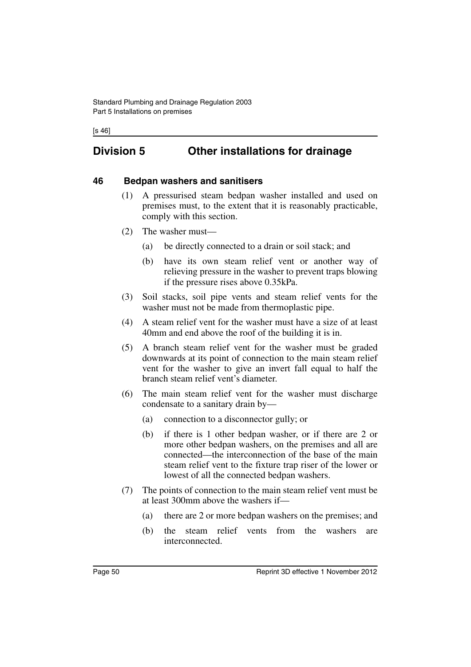## **Division 5 Other installations for drainage**

#### **46 Bedpan washers and sanitisers**

- (1) A pressurised steam bedpan washer installed and used on premises must, to the extent that it is reasonably practicable, comply with this section.
- (2) The washer must—
	- (a) be directly connected to a drain or soil stack; and
	- (b) have its own steam relief vent or another way of relieving pressure in the washer to prevent traps blowing if the pressure rises above 0.35kPa.
- (3) Soil stacks, soil pipe vents and steam relief vents for the washer must not be made from thermoplastic pipe.
- (4) A steam relief vent for the washer must have a size of at least 40mm and end above the roof of the building it is in.
- (5) A branch steam relief vent for the washer must be graded downwards at its point of connection to the main steam relief vent for the washer to give an invert fall equal to half the branch steam relief vent's diameter.
- (6) The main steam relief vent for the washer must discharge condensate to a sanitary drain by—
	- (a) connection to a disconnector gully; or
	- (b) if there is 1 other bedpan washer, or if there are 2 or more other bedpan washers, on the premises and all are connected—the interconnection of the base of the main steam relief vent to the fixture trap riser of the lower or lowest of all the connected bedpan washers.
- (7) The points of connection to the main steam relief vent must be at least 300mm above the washers if—
	- (a) there are 2 or more bedpan washers on the premises; and
	- (b) the steam relief vents from the washers are interconnected.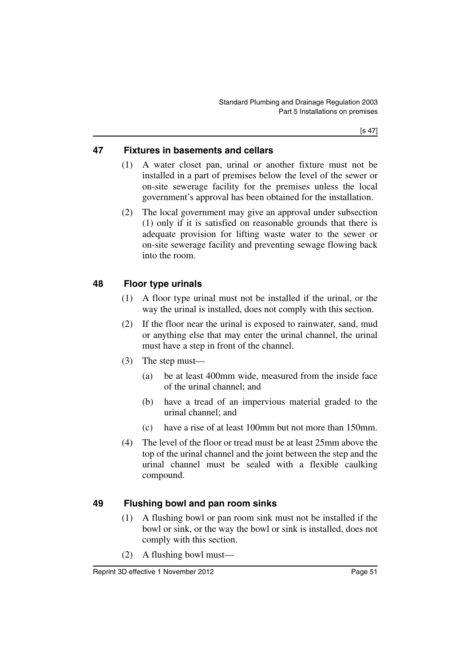### **47 Fixtures in basements and cellars**

- (1) A water closet pan, urinal or another fixture must not be installed in a part of premises below the level of the sewer or on-site sewerage facility for the premises unless the local government's approval has been obtained for the installation.
- (2) The local government may give an approval under subsection (1) only if it is satisfied on reasonable grounds that there is adequate provision for lifting waste water to the sewer or on-site sewerage facility and preventing sewage flowing back into the room.

### **48 Floor type urinals**

- (1) A floor type urinal must not be installed if the urinal, or the way the urinal is installed, does not comply with this section.
- (2) If the floor near the urinal is exposed to rainwater, sand, mud or anything else that may enter the urinal channel, the urinal must have a step in front of the channel.
- (3) The step must—
	- (a) be at least 400mm wide, measured from the inside face of the urinal channel; and
	- (b) have a tread of an impervious material graded to the urinal channel; and
	- (c) have a rise of at least 100mm but not more than 150mm.
- (4) The level of the floor or tread must be at least 25mm above the top of the urinal channel and the joint between the step and the urinal channel must be sealed with a flexible caulking compound.

### **49 Flushing bowl and pan room sinks**

- (1) A flushing bowl or pan room sink must not be installed if the bowl or sink, or the way the bowl or sink is installed, does not comply with this section.
- (2) A flushing bowl must—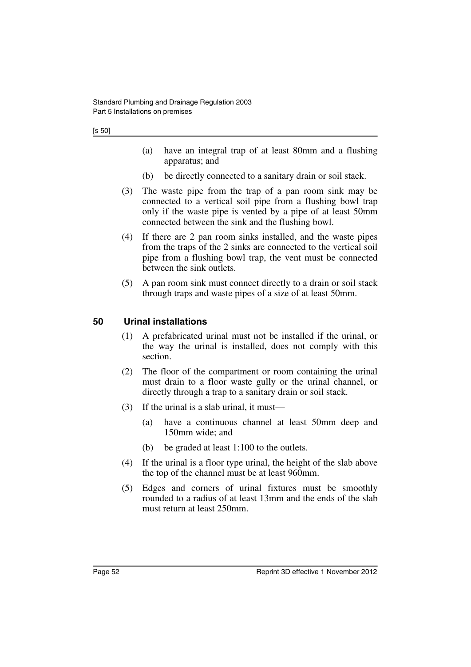- (a) have an integral trap of at least 80mm and a flushing apparatus; and
- (b) be directly connected to a sanitary drain or soil stack.
- (3) The waste pipe from the trap of a pan room sink may be connected to a vertical soil pipe from a flushing bowl trap only if the waste pipe is vented by a pipe of at least 50mm connected between the sink and the flushing bowl.
- (4) If there are 2 pan room sinks installed, and the waste pipes from the traps of the 2 sinks are connected to the vertical soil pipe from a flushing bowl trap, the vent must be connected between the sink outlets.
- (5) A pan room sink must connect directly to a drain or soil stack through traps and waste pipes of a size of at least 50mm.

### **50 Urinal installations**

- (1) A prefabricated urinal must not be installed if the urinal, or the way the urinal is installed, does not comply with this section.
- (2) The floor of the compartment or room containing the urinal must drain to a floor waste gully or the urinal channel, or directly through a trap to a sanitary drain or soil stack.
- (3) If the urinal is a slab urinal, it must—
	- (a) have a continuous channel at least 50mm deep and 150mm wide; and
	- (b) be graded at least 1:100 to the outlets.
- (4) If the urinal is a floor type urinal, the height of the slab above the top of the channel must be at least 960mm.
- (5) Edges and corners of urinal fixtures must be smoothly rounded to a radius of at least 13mm and the ends of the slab must return at least 250mm.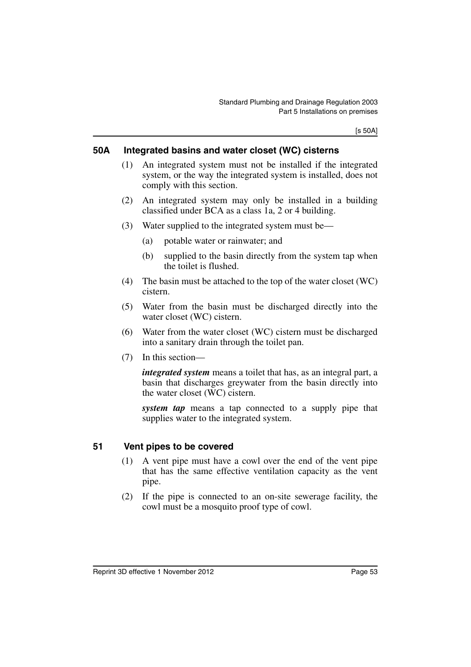[s 50A]

#### **50A Integrated basins and water closet (WC) cisterns**

- (1) An integrated system must not be installed if the integrated system, or the way the integrated system is installed, does not comply with this section.
- (2) An integrated system may only be installed in a building classified under BCA as a class 1a, 2 or 4 building.
- (3) Water supplied to the integrated system must be—
	- (a) potable water or rainwater; and
	- (b) supplied to the basin directly from the system tap when the toilet is flushed.
- (4) The basin must be attached to the top of the water closet (WC) cistern.
- (5) Water from the basin must be discharged directly into the water closet (WC) cistern.
- (6) Water from the water closet (WC) cistern must be discharged into a sanitary drain through the toilet pan.
- (7) In this section—

*integrated system* means a toilet that has, as an integral part, a basin that discharges greywater from the basin directly into the water closet (WC) cistern.

*system tap* means a tap connected to a supply pipe that supplies water to the integrated system.

### **51 Vent pipes to be covered**

- (1) A vent pipe must have a cowl over the end of the vent pipe that has the same effective ventilation capacity as the vent pipe.
- (2) If the pipe is connected to an on-site sewerage facility, the cowl must be a mosquito proof type of cowl.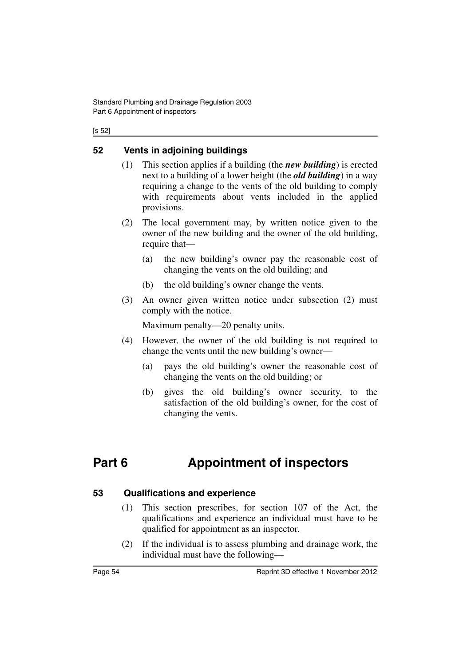#### [s 52]

### **52 Vents in adjoining buildings**

- (1) This section applies if a building (the *new building*) is erected next to a building of a lower height (the *old building*) in a way requiring a change to the vents of the old building to comply with requirements about vents included in the applied provisions.
- (2) The local government may, by written notice given to the owner of the new building and the owner of the old building, require that—
	- (a) the new building's owner pay the reasonable cost of changing the vents on the old building; and
	- (b) the old building's owner change the vents.
- (3) An owner given written notice under subsection (2) must comply with the notice.

Maximum penalty—20 penalty units.

- (4) However, the owner of the old building is not required to change the vents until the new building's owner—
	- (a) pays the old building's owner the reasonable cost of changing the vents on the old building; or
	- (b) gives the old building's owner security, to the satisfaction of the old building's owner, for the cost of changing the vents.

# **Part 6 Appointment of inspectors**

#### **53 Qualifications and experience**

- (1) This section prescribes, for section 107 of the Act, the qualifications and experience an individual must have to be qualified for appointment as an inspector.
- (2) If the individual is to assess plumbing and drainage work, the individual must have the following—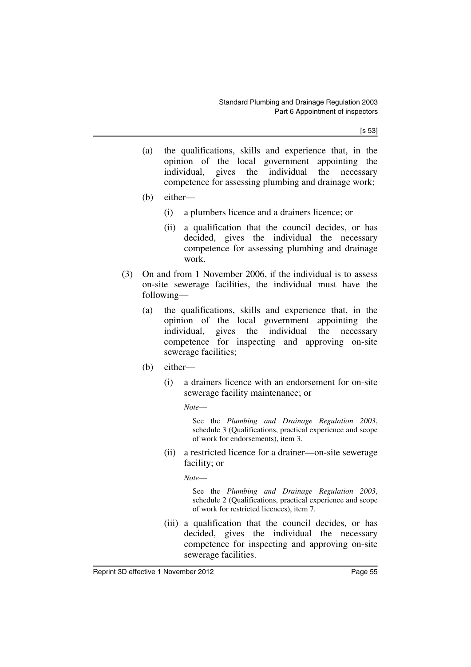[s 53]

- (a) the qualifications, skills and experience that, in the opinion of the local government appointing the individual, gives the individual the necessary competence for assessing plumbing and drainage work;
- (b) either—
	- (i) a plumbers licence and a drainers licence; or
	- (ii) a qualification that the council decides, or has decided, gives the individual the necessary competence for assessing plumbing and drainage work.
- (3) On and from 1 November 2006, if the individual is to assess on-site sewerage facilities, the individual must have the following—
	- (a) the qualifications, skills and experience that, in the opinion of the local government appointing the individual, gives the individual the necessary competence for inspecting and approving on-site sewerage facilities;
	- (b) either—
		- (i) a drainers licence with an endorsement for on-site sewerage facility maintenance; or

*Note*—

See the *Plumbing and Drainage Regulation 2003*, schedule 3 (Qualifications, practical experience and scope of work for endorsements), item 3.

(ii) a restricted licence for a drainer—on-site sewerage facility; or

*Note*—

See the *Plumbing and Drainage Regulation 2003*, schedule 2 (Qualifications, practical experience and scope of work for restricted licences), item 7.

(iii) a qualification that the council decides, or has decided, gives the individual the necessary competence for inspecting and approving on-site sewerage facilities.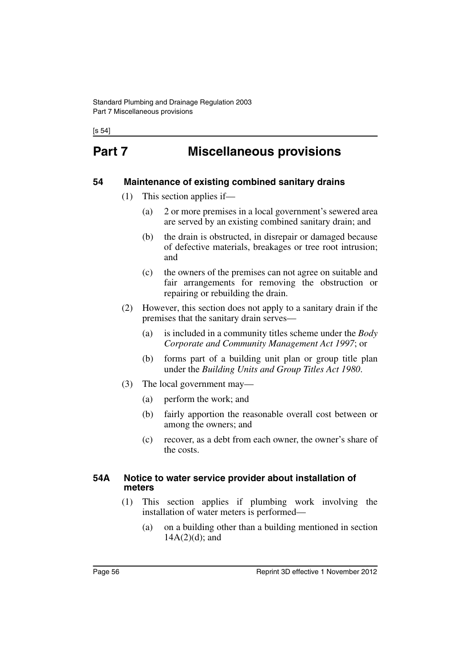[s 54]

# **Part 7 Miscellaneous provisions**

#### **54 Maintenance of existing combined sanitary drains**

- (1) This section applies if—
	- (a) 2 or more premises in a local government's sewered area are served by an existing combined sanitary drain; and
	- (b) the drain is obstructed, in disrepair or damaged because of defective materials, breakages or tree root intrusion; and
	- (c) the owners of the premises can not agree on suitable and fair arrangements for removing the obstruction or repairing or rebuilding the drain.
- (2) However, this section does not apply to a sanitary drain if the premises that the sanitary drain serves—
	- (a) is included in a community titles scheme under the *Body Corporate and Community Management Act 1997*; or
	- (b) forms part of a building unit plan or group title plan under the *Building Units and Group Titles Act 1980*.
- (3) The local government may—
	- (a) perform the work; and
	- (b) fairly apportion the reasonable overall cost between or among the owners; and
	- (c) recover, as a debt from each owner, the owner's share of the costs.

#### **54A Notice to water service provider about installation of meters**

- (1) This section applies if plumbing work involving the installation of water meters is performed—
	- (a) on a building other than a building mentioned in section  $14A(2)(d)$ ; and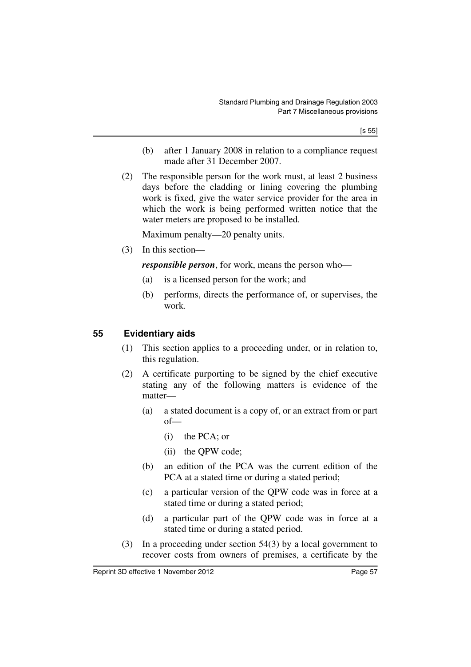[s 55]

- (b) after 1 January 2008 in relation to a compliance request made after 31 December 2007.
- (2) The responsible person for the work must, at least 2 business days before the cladding or lining covering the plumbing work is fixed, give the water service provider for the area in which the work is being performed written notice that the water meters are proposed to be installed.

Maximum penalty—20 penalty units.

(3) In this section—

*responsible person*, for work, means the person who—

- (a) is a licensed person for the work; and
- (b) performs, directs the performance of, or supervises, the work.

### **55 Evidentiary aids**

- (1) This section applies to a proceeding under, or in relation to, this regulation.
- (2) A certificate purporting to be signed by the chief executive stating any of the following matters is evidence of the matter—
	- (a) a stated document is a copy of, or an extract from or part of—
		- (i) the PCA; or
		- (ii) the QPW code;
	- (b) an edition of the PCA was the current edition of the PCA at a stated time or during a stated period;
	- (c) a particular version of the QPW code was in force at a stated time or during a stated period;
	- (d) a particular part of the QPW code was in force at a stated time or during a stated period.
- (3) In a proceeding under section 54(3) by a local government to recover costs from owners of premises, a certificate by the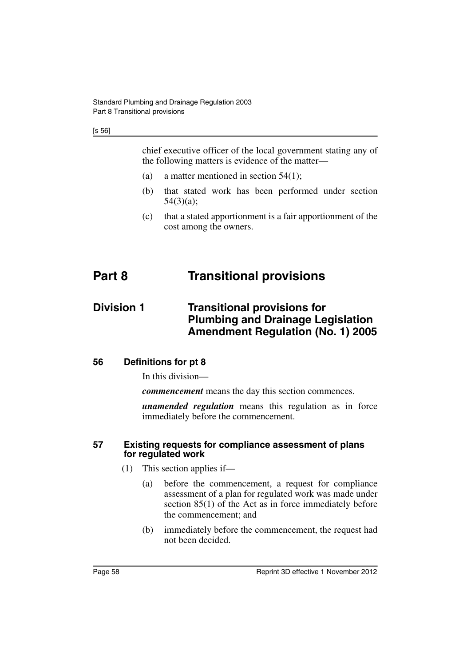chief executive officer of the local government stating any of the following matters is evidence of the matter—

- (a) a matter mentioned in section 54(1);
- (b) that stated work has been performed under section 54(3)(a);
- (c) that a stated apportionment is a fair apportionment of the cost among the owners.

# **Part 8 Transitional provisions**

### **Division 1** Transitional provisions for **Plumbing and Drainage Legislation Amendment Regulation (No. 1) 2005**

#### **56 Definitions for pt 8**

In this division—

*commencement* means the day this section commences.

*unamended regulation* means this regulation as in force immediately before the commencement.

#### **57 Existing requests for compliance assessment of plans for regulated work**

- (1) This section applies if—
	- (a) before the commencement, a request for compliance assessment of a plan for regulated work was made under section 85(1) of the Act as in force immediately before the commencement; and
	- (b) immediately before the commencement, the request had not been decided.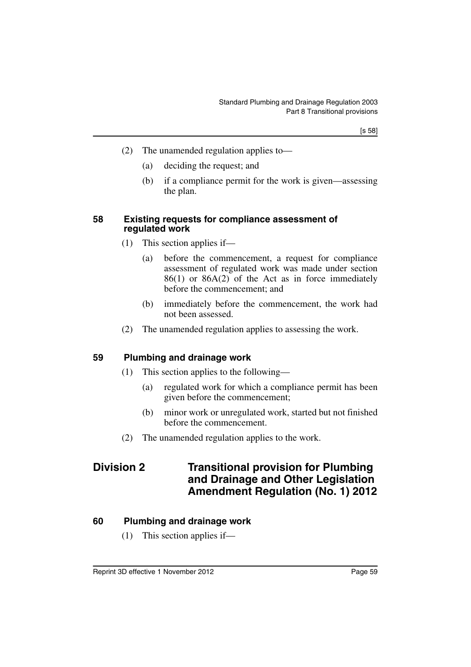[s 58]

- (2) The unamended regulation applies to—
	- (a) deciding the request; and
	- (b) if a compliance permit for the work is given—assessing the plan.

#### **58 Existing requests for compliance assessment of regulated work**

- (1) This section applies if—
	- (a) before the commencement, a request for compliance assessment of regulated work was made under section 86(1) or 86A(2) of the Act as in force immediately before the commencement; and
	- (b) immediately before the commencement, the work had not been assessed.
- (2) The unamended regulation applies to assessing the work.

#### **59 Plumbing and drainage work**

- (1) This section applies to the following—
	- (a) regulated work for which a compliance permit has been given before the commencement;
	- (b) minor work or unregulated work, started but not finished before the commencement.
- (2) The unamended regulation applies to the work.

### **Division 2 Transitional provision for Plumbing and Drainage and Other Legislation Amendment Regulation (No. 1) 2012**

#### **60 Plumbing and drainage work**

(1) This section applies if—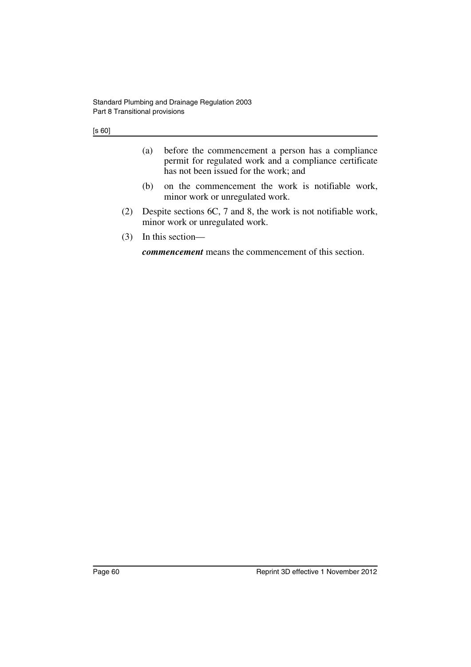- (a) before the commencement a person has a compliance permit for regulated work and a compliance certificate has not been issued for the work; and
- (b) on the commencement the work is notifiable work, minor work or unregulated work.
- (2) Despite sections 6C, 7 and 8, the work is not notifiable work, minor work or unregulated work.
- (3) In this section—

*commencement* means the commencement of this section.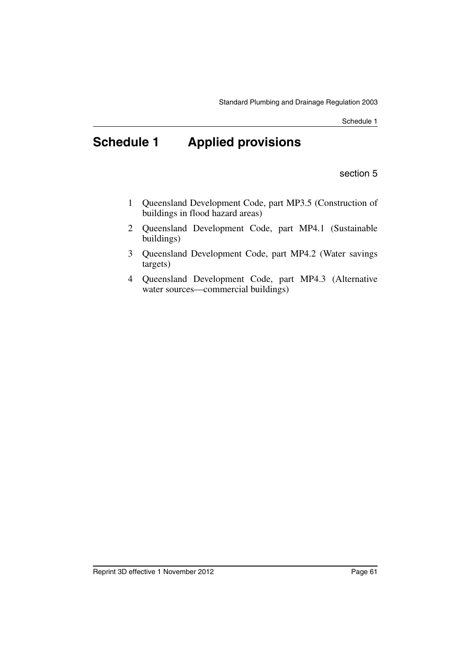# **Schedule 1 Applied provisions**

section 5

- 1 Queensland Development Code, part MP3.5 (Construction of buildings in flood hazard areas)
- 2 Queensland Development Code, part MP4.1 (Sustainable buildings)
- 3 Queensland Development Code, part MP4.2 (Water savings targets)
- 4 Queensland Development Code, part MP4.3 (Alternative water sources—commercial buildings)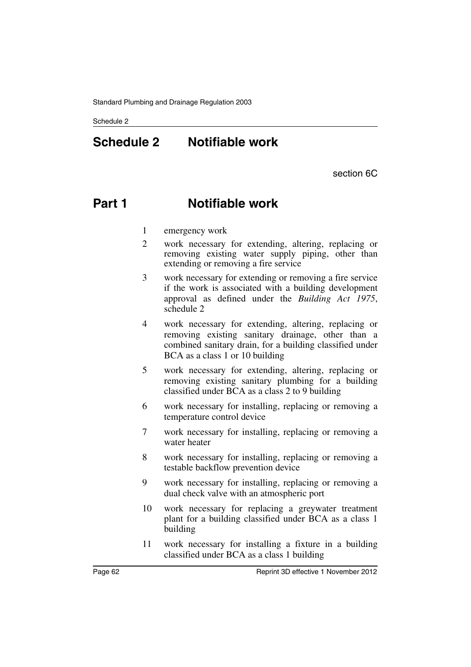# **Schedule 2 Notifiable work**

section 6C

# **Part 1 Notifiable work**

- 1 emergency work
- 2 work necessary for extending, altering, replacing or removing existing water supply piping, other than extending or removing a fire service
- 3 work necessary for extending or removing a fire service if the work is associated with a building development approval as defined under the *Building Act 1975*, schedule 2
- 4 work necessary for extending, altering, replacing or removing existing sanitary drainage, other than a combined sanitary drain, for a building classified under BCA as a class 1 or 10 building
- 5 work necessary for extending, altering, replacing or removing existing sanitary plumbing for a building classified under BCA as a class 2 to 9 building
- 6 work necessary for installing, replacing or removing a temperature control device
- 7 work necessary for installing, replacing or removing a water heater
- 8 work necessary for installing, replacing or removing a testable backflow prevention device
- 9 work necessary for installing, replacing or removing a dual check valve with an atmospheric port
- 10 work necessary for replacing a greywater treatment plant for a building classified under BCA as a class 1 building
- 11 work necessary for installing a fixture in a building classified under BCA as a class 1 building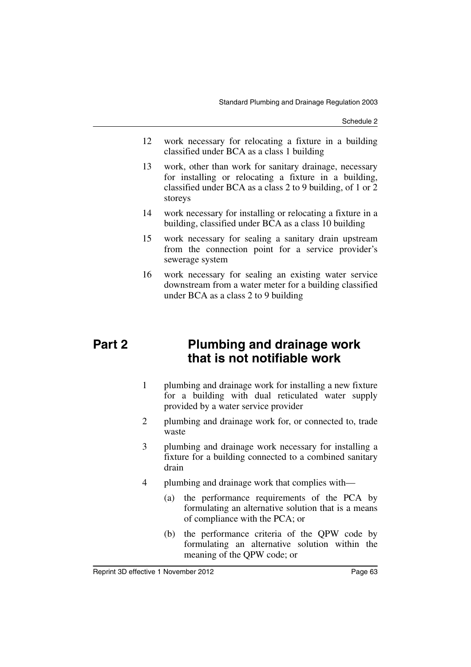- 12 work necessary for relocating a fixture in a building classified under BCA as a class 1 building
- 13 work, other than work for sanitary drainage, necessary for installing or relocating a fixture in a building, classified under BCA as a class 2 to 9 building, of 1 or 2 storeys
- 14 work necessary for installing or relocating a fixture in a building, classified under BCA as a class 10 building
- 15 work necessary for sealing a sanitary drain upstream from the connection point for a service provider's sewerage system
- 16 work necessary for sealing an existing water service downstream from a water meter for a building classified under BCA as a class 2 to 9 building

## **Part 2 Plumbing and drainage work that is not notifiable work**

- 1 plumbing and drainage work for installing a new fixture for a building with dual reticulated water supply provided by a water service provider
- 2 plumbing and drainage work for, or connected to, trade waste
- 3 plumbing and drainage work necessary for installing a fixture for a building connected to a combined sanitary drain
- 4 plumbing and drainage work that complies with—
	- (a) the performance requirements of the PCA by formulating an alternative solution that is a means of compliance with the PCA; or
	- (b) the performance criteria of the QPW code by formulating an alternative solution within the meaning of the QPW code; or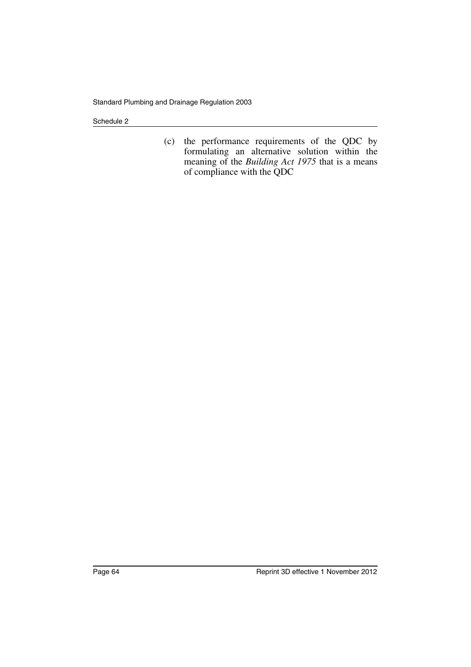(c) the performance requirements of the QDC by formulating an alternative solution within the meaning of the *Building Act 1975* that is a means of compliance with the QDC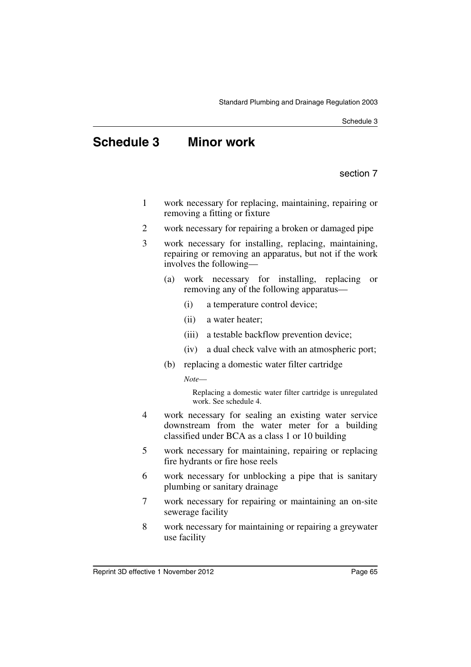# **Schedule 3 Minor work**

section 7

- 1 work necessary for replacing, maintaining, repairing or removing a fitting or fixture
- 2 work necessary for repairing a broken or damaged pipe
- 3 work necessary for installing, replacing, maintaining, repairing or removing an apparatus, but not if the work involves the following—
	- (a) work necessary for installing, replacing or removing any of the following apparatus—
		- (i) a temperature control device;
		- (ii) a water heater;
		- (iii) a testable backflow prevention device;
		- (iv) a dual check valve with an atmospheric port;
	- (b) replacing a domestic water filter cartridge

*Note*—

Replacing a domestic water filter cartridge is unregulated work. See schedule 4.

- 4 work necessary for sealing an existing water service downstream from the water meter for a building classified under BCA as a class 1 or 10 building
- 5 work necessary for maintaining, repairing or replacing fire hydrants or fire hose reels
- 6 work necessary for unblocking a pipe that is sanitary plumbing or sanitary drainage
- 7 work necessary for repairing or maintaining an on-site sewerage facility
- 8 work necessary for maintaining or repairing a greywater use facility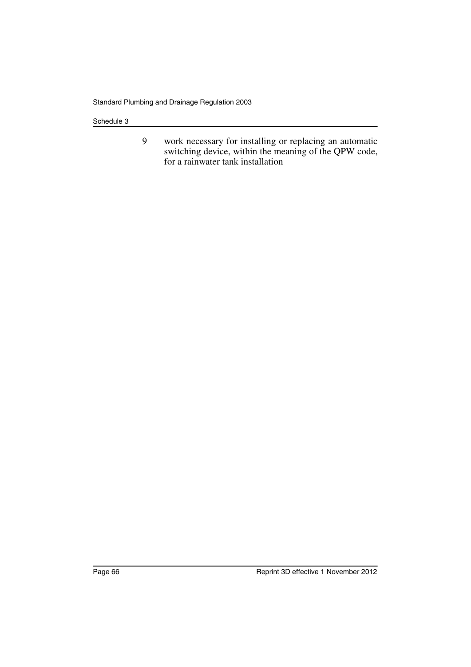9 work necessary for installing or replacing an automatic switching device, within the meaning of the QPW code, for a rainwater tank installation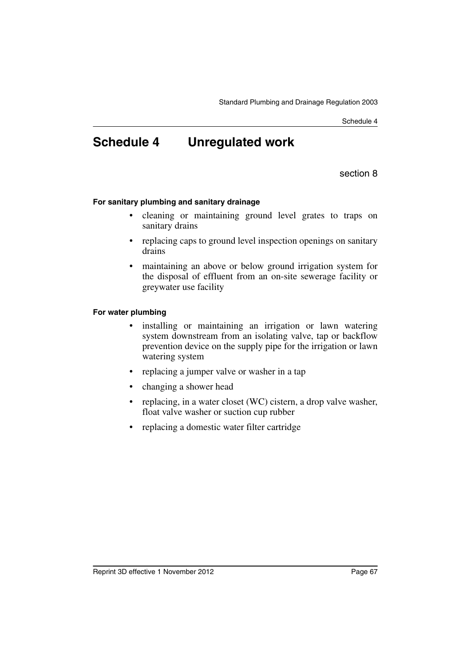# **Schedule 4 Unregulated work**

section 8

#### **For sanitary plumbing and sanitary drainage**

- cleaning or maintaining ground level grates to traps on sanitary drains
- replacing caps to ground level inspection openings on sanitary drains
- maintaining an above or below ground irrigation system for the disposal of effluent from an on-site sewerage facility or greywater use facility

#### **For water plumbing**

- installing or maintaining an irrigation or lawn watering system downstream from an isolating valve, tap or backflow prevention device on the supply pipe for the irrigation or lawn watering system
- replacing a jumper valve or washer in a tap
- changing a shower head
- replacing, in a water closet (WC) cistern, a drop valve washer, float valve washer or suction cup rubber
- replacing a domestic water filter cartridge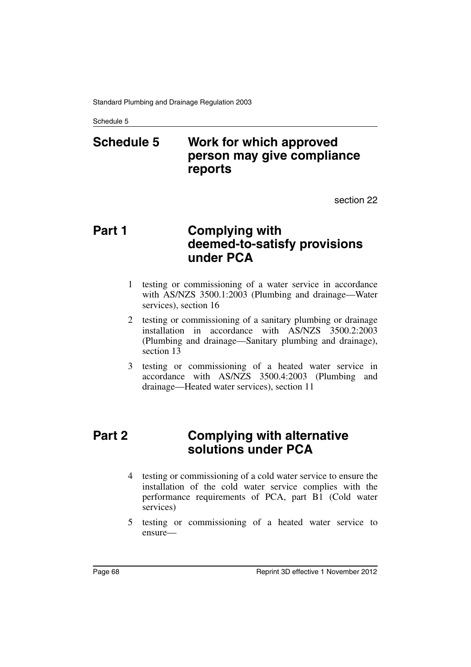# **Schedule 5 Work for which approved person may give compliance reports**

section 22

## **Part 1 Complying with deemed-to-satisfy provisions under PCA**

- 1 testing or commissioning of a water service in accordance with AS/NZS 3500.1:2003 (Plumbing and drainage—Water services), section 16
- 2 testing or commissioning of a sanitary plumbing or drainage installation in accordance with AS/NZS 3500.2:2003 (Plumbing and drainage—Sanitary plumbing and drainage), section 13
- 3 testing or commissioning of a heated water service in accordance with AS/NZS 3500.4:2003 (Plumbing and drainage—Heated water services), section 11

## **Part 2 Complying with alternative solutions under PCA**

- 4 testing or commissioning of a cold water service to ensure the installation of the cold water service complies with the performance requirements of PCA, part B1 (Cold water services)
- 5 testing or commissioning of a heated water service to ensure—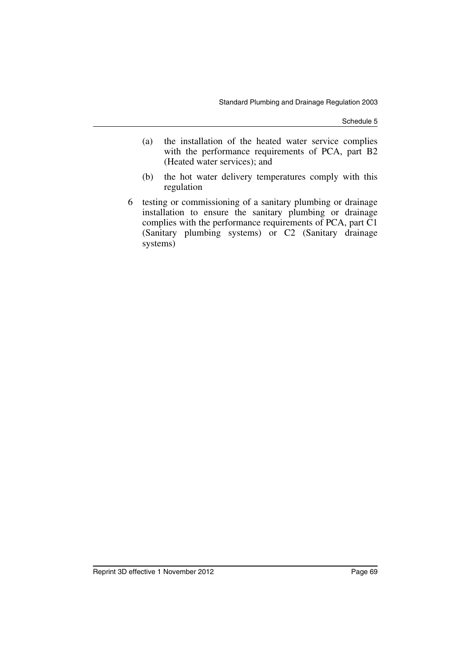- (a) the installation of the heated water service complies with the performance requirements of PCA, part B2 (Heated water services); and
- (b) the hot water delivery temperatures comply with this regulation
- 6 testing or commissioning of a sanitary plumbing or drainage installation to ensure the sanitary plumbing or drainage complies with the performance requirements of PCA, part C1 (Sanitary plumbing systems) or C2 (Sanitary drainage systems)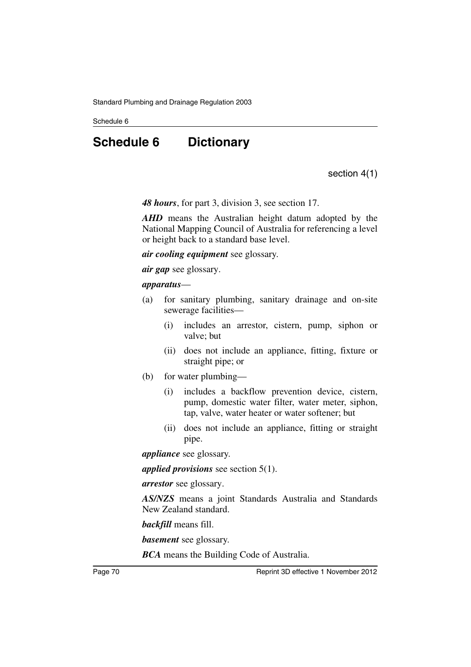# **Schedule 6 Dictionary**

section 4(1)

*48 hours*, for part 3, division 3, see section 17.

*AHD* means the Australian height datum adopted by the National Mapping Council of Australia for referencing a level or height back to a standard base level.

*air cooling equipment* see glossary.

*air gap* see glossary.

#### *apparatus*—

- (a) for sanitary plumbing, sanitary drainage and on-site sewerage facilities—
	- (i) includes an arrestor, cistern, pump, siphon or valve; but
	- (ii) does not include an appliance, fitting, fixture or straight pipe; or
- (b) for water plumbing—
	- (i) includes a backflow prevention device, cistern, pump, domestic water filter, water meter, siphon, tap, valve, water heater or water softener; but
	- (ii) does not include an appliance, fitting or straight pipe.

*appliance* see glossary.

*applied provisions* see section 5(1).

*arrestor* see glossary.

*AS/NZS* means a joint Standards Australia and Standards New Zealand standard.

*backfill* means fill.

*basement* see glossary.

*BCA* means the Building Code of Australia.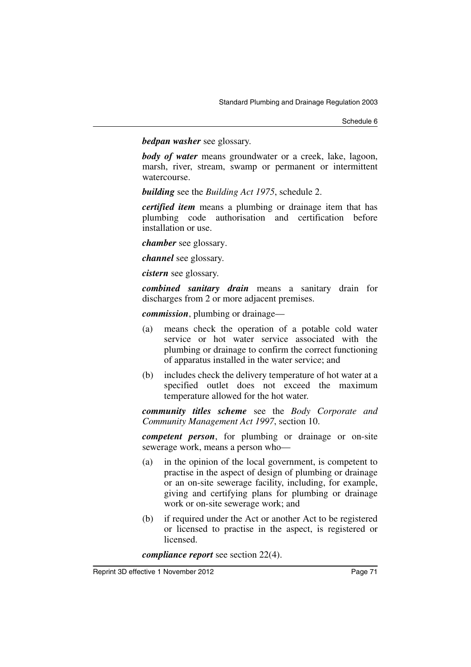*bedpan washer* see glossary.

*body of water* means groundwater or a creek, lake, lagoon, marsh, river, stream, swamp or permanent or intermittent watercourse.

*building* see the *Building Act 1975*, schedule 2.

*certified item* means a plumbing or drainage item that has plumbing code authorisation and certification before installation or use.

*chamber* see glossary.

*channel* see glossary.

*cistern* see glossary.

*combined sanitary drain* means a sanitary drain for discharges from 2 or more adjacent premises.

*commission*, plumbing or drainage—

- (a) means check the operation of a potable cold water service or hot water service associated with the plumbing or drainage to confirm the correct functioning of apparatus installed in the water service; and
- (b) includes check the delivery temperature of hot water at a specified outlet does not exceed the maximum temperature allowed for the hot water.

*community titles scheme* see the *Body Corporate and Community Management Act 1997*, section 10.

*competent person*, for plumbing or drainage or on-site sewerage work, means a person who—

- (a) in the opinion of the local government, is competent to practise in the aspect of design of plumbing or drainage or an on-site sewerage facility, including, for example, giving and certifying plans for plumbing or drainage work or on-site sewerage work; and
- (b) if required under the Act or another Act to be registered or licensed to practise in the aspect, is registered or licensed.

*compliance report* see section 22(4).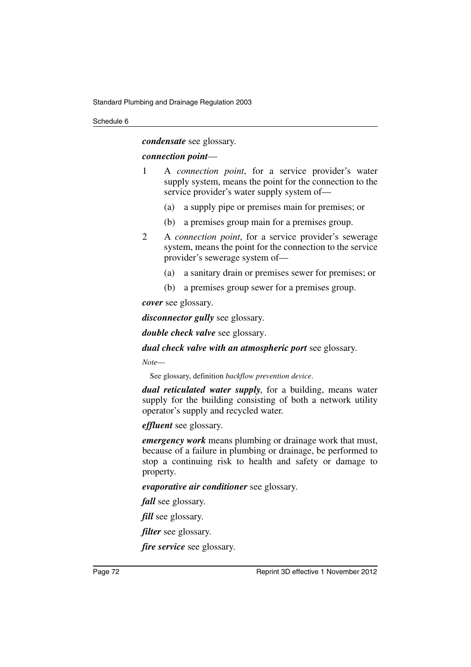*condensate* see glossary.

# *connection point*—

- 1 A *connection point*, for a service provider's water supply system, means the point for the connection to the service provider's water supply system of—
	- (a) a supply pipe or premises main for premises; or
	- (b) a premises group main for a premises group.
- 2 A *connection point*, for a service provider's sewerage system, means the point for the connection to the service provider's sewerage system of—
	- (a) a sanitary drain or premises sewer for premises; or
	- (b) a premises group sewer for a premises group.

*cover* see glossary.

*disconnector gully* see glossary.

*double check valve* see glossary.

*dual check valve with an atmospheric port* see glossary.

*Note*—

See glossary, definition *backflow prevention device*.

*dual reticulated water supply*, for a building, means water supply for the building consisting of both a network utility operator's supply and recycled water.

*effluent* see glossary.

*emergency work* means plumbing or drainage work that must, because of a failure in plumbing or drainage, be performed to stop a continuing risk to health and safety or damage to property.

*evaporative air conditioner* see glossary.

*fall* see glossary.

*fill* see glossary.

*filter* see glossary.

*fire service* see glossary.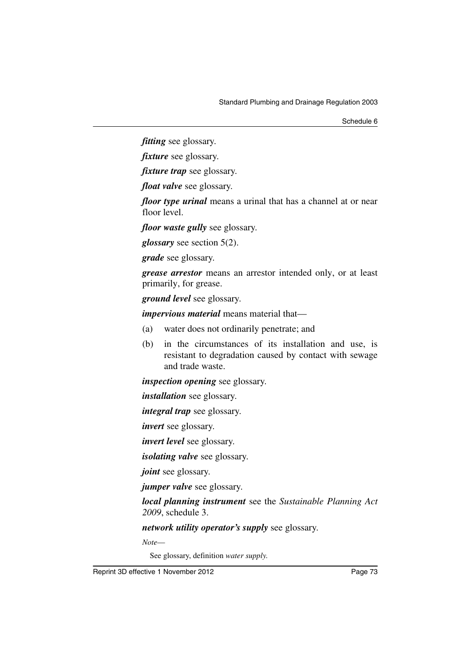*fitting* see glossary.

*fixture* see glossary.

*fixture trap* see glossary.

*float valve* see glossary.

*floor type urinal* means a urinal that has a channel at or near floor level.

*floor waste gully* see glossary.

*glossary* see section 5(2).

*grade* see glossary.

*grease arrestor* means an arrestor intended only, or at least primarily, for grease.

*ground level* see glossary.

*impervious material* means material that—

- (a) water does not ordinarily penetrate; and
- (b) in the circumstances of its installation and use, is resistant to degradation caused by contact with sewage and trade waste.

*inspection opening* see glossary.

*installation* see glossary.

*integral trap* see glossary.

*invert* see glossary.

*invert level* see glossary.

*isolating valve* see glossary.

*joint* see glossary.

*jumper valve* see glossary.

*local planning instrument* see the *Sustainable Planning Act 2009*, schedule 3.

*network utility operator's supply* see glossary.

*Note*—

See glossary, definition *water supply*.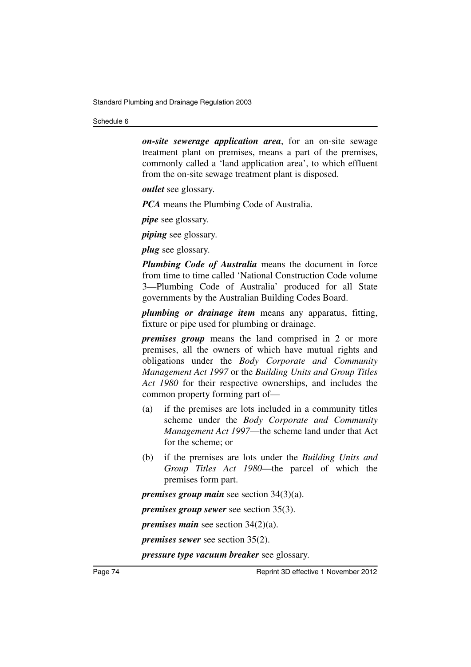*on-site sewerage application area*, for an on-site sewage treatment plant on premises, means a part of the premises, commonly called a 'land application area', to which effluent from the on-site sewage treatment plant is disposed.

*outlet* see glossary.

*PCA* means the Plumbing Code of Australia.

*pipe* see glossary.

*piping* see glossary.

*plug* see glossary.

*Plumbing Code of Australia* means the document in force from time to time called 'National Construction Code volume 3—Plumbing Code of Australia' produced for all State governments by the Australian Building Codes Board.

*plumbing or drainage item* means any apparatus, fitting, fixture or pipe used for plumbing or drainage.

*premises group* means the land comprised in 2 or more premises, all the owners of which have mutual rights and obligations under the *Body Corporate and Community Management Act 1997* or the *Building Units and Group Titles Act 1980* for their respective ownerships, and includes the common property forming part of—

- (a) if the premises are lots included in a community titles scheme under the *Body Corporate and Community Management Act 1997*—the scheme land under that Act for the scheme; or
- (b) if the premises are lots under the *Building Units and Group Titles Act 1980*—the parcel of which the premises form part.

*premises group main* see section 34(3)(a).

*premises group sewer* see section 35(3).

*premises main* see section 34(2)(a).

*premises sewer* see section 35(2).

*pressure type vacuum breaker* see glossary.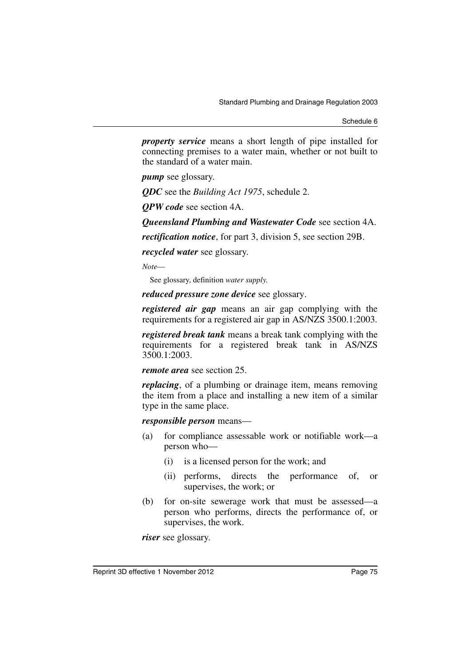*property service* means a short length of pipe installed for connecting premises to a water main, whether or not built to the standard of a water main.

*pump* see glossary.

*QDC* see the *Building Act 1975*, schedule 2.

*QPW code* see section 4A.

*Queensland Plumbing and Wastewater Code* see section 4A.

*rectification notice*, for part 3, division 5, see section 29B.

*recycled water* see glossary.

*Note*—

See glossary, definition *water supply*.

*reduced pressure zone device* see glossary.

*registered air gap* means an air gap complying with the requirements for a registered air gap in AS/NZS 3500.1:2003.

*registered break tank* means a break tank complying with the requirements for a registered break tank in AS/NZS 3500.1:2003.

*remote area* see section 25.

*replacing*, of a plumbing or drainage item, means removing the item from a place and installing a new item of a similar type in the same place.

*responsible person* means—

- (a) for compliance assessable work or notifiable work—a person who—
	- (i) is a licensed person for the work; and
	- (ii) performs, directs the performance of, or supervises, the work; or
- (b) for on-site sewerage work that must be assessed—a person who performs, directs the performance of, or supervises, the work.

*riser* see glossary.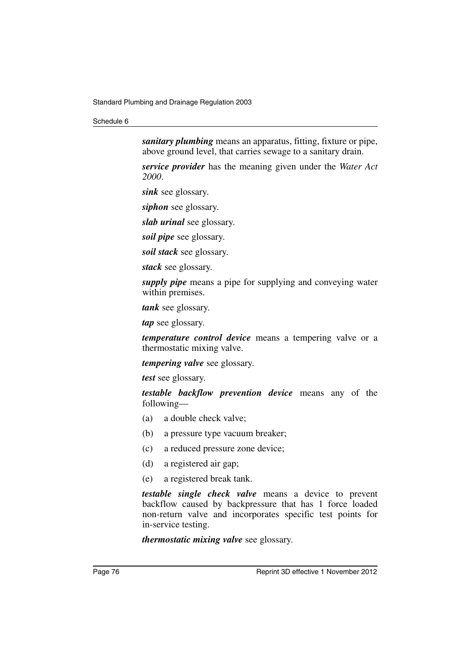*sanitary plumbing* means an apparatus, fitting, fixture or pipe, above ground level, that carries sewage to a sanitary drain.

*service provider* has the meaning given under the *Water Act 2000*.

*sink* see glossary.

*siphon* see glossary.

*slab urinal* see glossary.

*soil pipe* see glossary.

*soil stack* see glossary.

*stack* see glossary.

*supply pipe* means a pipe for supplying and conveying water within premises.

*tank* see glossary.

*tap* see glossary.

*temperature control device* means a tempering valve or a thermostatic mixing valve.

*tempering valve* see glossary.

*test* see glossary.

*testable backflow prevention device* means any of the following—

- (a) a double check valve;
- (b) a pressure type vacuum breaker;
- (c) a reduced pressure zone device;
- (d) a registered air gap;
- (e) a registered break tank.

*testable single check valve* means a device to prevent backflow caused by backpressure that has 1 force loaded non-return valve and incorporates specific test points for in-service testing.

*thermostatic mixing valve* see glossary.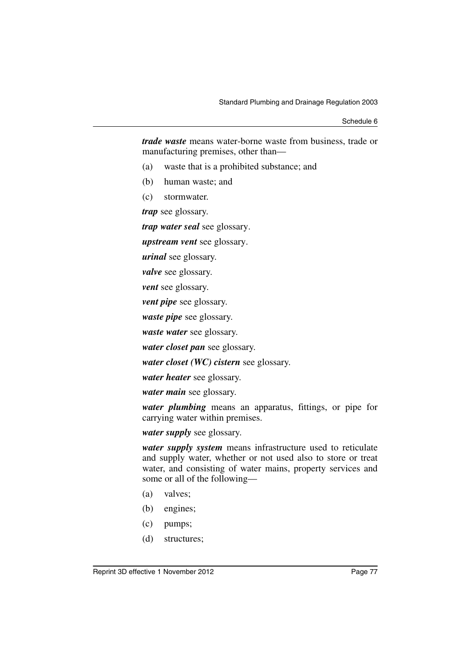*trade waste* means water-borne waste from business, trade or manufacturing premises, other than—

- (a) waste that is a prohibited substance; and
- (b) human waste; and
- (c) stormwater.

*trap* see glossary.

*trap water seal* see glossary.

*upstream vent* see glossary.

*urinal* see glossary.

*valve* see glossary.

*vent* see glossary.

*vent pipe* see glossary.

*waste pipe* see glossary.

*waste water* see glossary.

*water closet pan* see glossary.

*water closet (WC) cistern* see glossary.

*water heater* see glossary.

*water main* see glossary.

*water plumbing* means an apparatus, fittings, or pipe for carrying water within premises.

*water supply* see glossary.

*water supply system* means infrastructure used to reticulate and supply water, whether or not used also to store or treat water, and consisting of water mains, property services and some or all of the following—

- (a) valves;
- (b) engines;
- (c) pumps;
- (d) structures;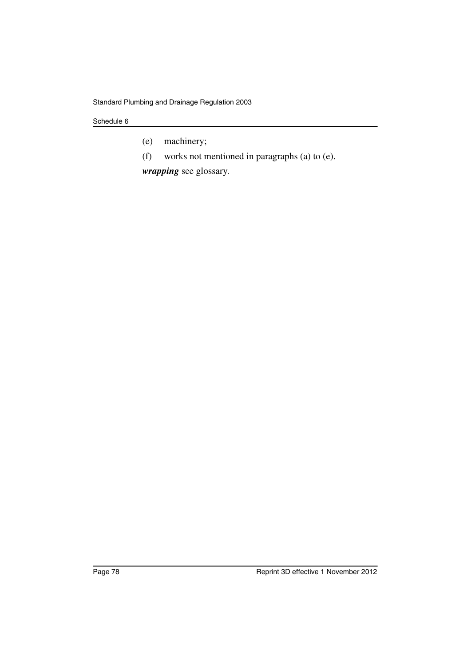- (e) machinery;
- (f) works not mentioned in paragraphs (a) to (e).

*wrapping* see glossary.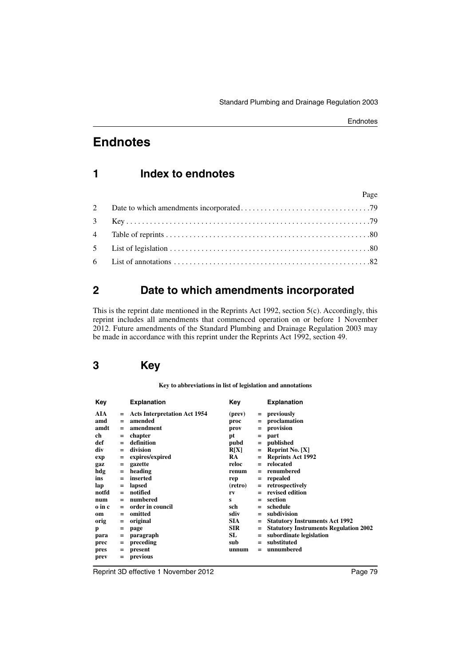# **1 Index to endnotes**

| Page |  |
|------|--|
|      |  |
|      |  |
|      |  |
|      |  |
|      |  |

# <span id="page-80-0"></span>**2 Date to which amendments incorporated**

This is the reprint date mentioned in the Reprints Act 1992, section 5(c). Accordingly, this reprint includes all amendments that commenced operation on or before 1 November 2012. Future amendments of the Standard Plumbing and Drainage Regulation 2003 may be made in accordance with this reprint under the Reprints Act 1992, section 49.

# <span id="page-80-1"></span>**3 Key**

**Key to abbreviations in list of legislation and annotations**

| Key    |     | <b>Explanation</b>                  | Key        |     | <b>Explanation</b>                           |
|--------|-----|-------------------------------------|------------|-----|----------------------------------------------|
| AIA    | $=$ | <b>Acts Interpretation Act 1954</b> | (prev)     |     | $=$ previously                               |
| amd    | $=$ | amended                             | proc       | $=$ | proclamation                                 |
| amdt   | $=$ | amendment                           | prov       | $=$ | provision                                    |
| ch     | $=$ | chapter                             | рt         | $=$ | part                                         |
| def    | $=$ | definition                          | pubd       | $=$ | published                                    |
| div    | $=$ | division                            | R[X]       | $=$ | Reprint No. $[X]$                            |
| exp    | $=$ | expires/expired                     | <b>RA</b>  | $=$ | <b>Reprints Act 1992</b>                     |
| gaz    | $=$ | gazette                             | reloc      | $=$ | relocated                                    |
| hdg    | $=$ | heading                             | renum      |     | renumbered                                   |
| ins    | $=$ | inserted                            | rep        | $=$ | repealed                                     |
| lap    | $=$ | lapsed                              | (retro)    | $=$ | retrospectively                              |
| notfd  | $=$ | notified                            | rv         |     | revised edition                              |
| num    | $=$ | numbered                            | s          | $=$ | section                                      |
| o in c | $=$ | order in council                    | sch        | $=$ | schedule                                     |
| om     | $=$ | omitted                             | sdiv       | $=$ | subdivision                                  |
| orig   | $=$ | original                            | SIA.       |     | <b>Statutory Instruments Act 1992</b>        |
| p      | $=$ | page                                | <b>SIR</b> | $=$ | <b>Statutory Instruments Regulation 2002</b> |
| para   | $=$ | paragraph                           | SL         | $=$ | subordinate legislation                      |
| prec   | $=$ | preceding                           | sub        | $=$ | substituted                                  |
| pres   | $=$ | present                             | unnum      |     | unnumbered                                   |
| prev   | $=$ | previous                            |            |     |                                              |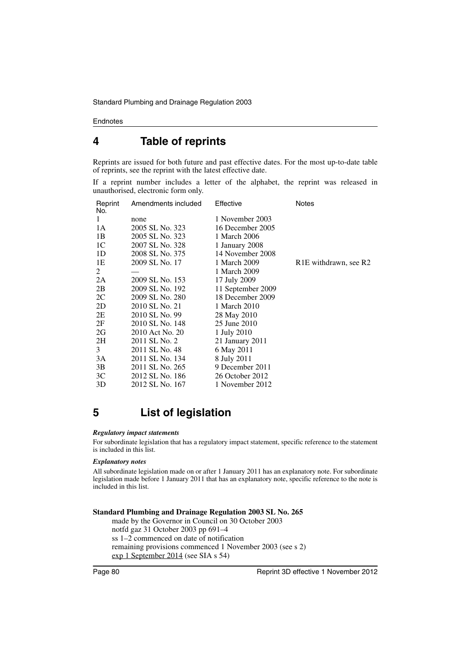# <span id="page-81-0"></span>**4 Table of reprints**

Reprints are issued for both future and past effective dates. For the most up-to-date table of reprints, see the reprint with the latest effective date.

If a reprint number includes a letter of the alphabet, the reprint was released in unauthorised, electronic form only.

| Reprint<br>No. | Amendments included | Effective         | Notes                                          |
|----------------|---------------------|-------------------|------------------------------------------------|
| 1              | none                | 1 November 2003   |                                                |
| 1A             | 2005 SL No. 323     | 16 December 2005  |                                                |
| 1B             | 2005 SL No. 323     | 1 March 2006      |                                                |
| 1C             | 2007 SL No. 328     | 1 January 2008    |                                                |
| 1D             | 2008 SL No. 375     | 14 November 2008  |                                                |
| 1E             | 2009 SL No. 17      | 1 March 2009      | R <sub>1</sub> E withdrawn, see R <sub>2</sub> |
| 2              |                     | 1 March 2009      |                                                |
| 2A             | 2009 SL No. 153     | 17 July 2009      |                                                |
| 2B             | 2009 SL No. 192     | 11 September 2009 |                                                |
| 2C             | 2009 SL No. 280     | 18 December 2009  |                                                |
| 2D             | 2010 SL No. 21      | 1 March 2010      |                                                |
| 2E             | 2010 SL No. 99      | 28 May 2010       |                                                |
| 2F             | 2010 SL No. 148     | 25 June 2010      |                                                |
| 2G             | 2010 Act No. 20     | 1 July 2010       |                                                |
| 2H             | 2011 SL No. 2       | 21 January 2011   |                                                |
| 3              | 2011 SL No. 48      | 6 May 2011        |                                                |
| 3A             | 2011 SL No. 134     | 8 July 2011       |                                                |
| 3B             | 2011 SL No. 265     | 9 December 2011   |                                                |
| 3C             | 2012 SL No. 186     | 26 October 2012   |                                                |
| 3D             | 2012 SL No. 167     | 1 November 2012   |                                                |

# <span id="page-81-1"></span>**5 List of legislation**

#### *Regulatory impact statements*

For subordinate legislation that has a regulatory impact statement, specific reference to the statement is included in this list.

#### *Explanatory notes*

All subordinate legislation made on or after 1 January 2011 has an explanatory note. For subordinate legislation made before 1 January 2011 that has an explanatory note, specific reference to the note is included in this list.

#### **Standard Plumbing and Drainage Regulation 2003 SL No. 265**

made by the Governor in Council on 30 October 2003 notfd gaz 31 October 2003 pp 691–4 ss 1–2 commenced on date of notification remaining provisions commenced 1 November 2003 (see s 2) exp 1 September 2014 (see SIA s 54)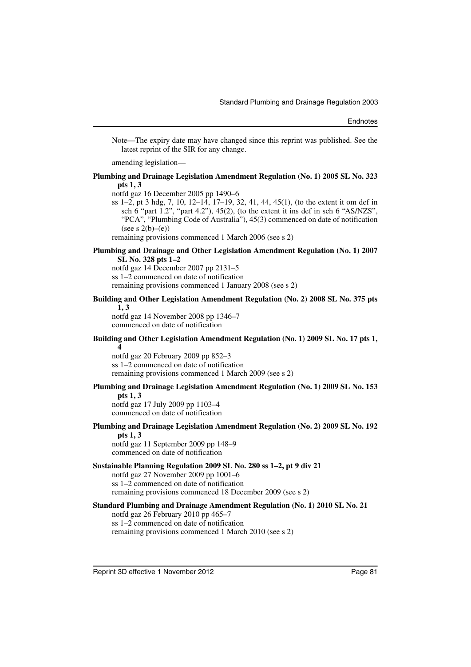Note—The expiry date may have changed since this reprint was published. See the latest reprint of the SIR for any change.

amending legislation—

### **Plumbing and Drainage Legislation Amendment Regulation (No. 1) 2005 SL No. 323 pts 1, 3**

notfd gaz 16 December 2005 pp 1490–6

ss 1–2, pt 3 hdg, 7, 10, 12–14, 17–19, 32, 41, 44, 45(1), (to the extent it om def in sch  $6$  "part  $1.2$ ", "part  $4.2$ "),  $45(2)$ , (to the extent it ins def in sch  $6$  "AS/NZS", "PCA", "Plumbing Code of Australia"), 45(3) commenced on date of notification (see s  $2(b)$ –(e))

remaining provisions commenced 1 March 2006 (see s 2)

### **Plumbing and Drainage and Other Legislation Amendment Regulation (No. 1) 2007 SL No. 328 pts 1–2**

notfd gaz 14 December 2007 pp 2131–5 ss 1–2 commenced on date of notification remaining provisions commenced 1 January 2008 (see s 2)

#### **Building and Other Legislation Amendment Regulation (No. 2) 2008 SL No. 375 pts 1, 3**

notfd gaz 14 November 2008 pp 1346–7 commenced on date of notification

### **Building and Other Legislation Amendment Regulation (No. 1) 2009 SL No. 17 pts 1, 4**

notfd gaz 20 February 2009 pp 852–3 ss 1–2 commenced on date of notification remaining provisions commenced 1 March 2009 (see s 2)

# **Plumbing and Drainage Legislation Amendment Regulation (No. 1) 2009 SL No. 153**

**pts 1, 3** notfd gaz 17 July 2009 pp 1103–4 commenced on date of notification

#### **Plumbing and Drainage Legislation Amendment Regulation (No. 2) 2009 SL No. 192 pts 1, 3**

notfd gaz 11 September 2009 pp 148–9 commenced on date of notification

### **Sustainable Planning Regulation 2009 SL No. 280 ss 1–2, pt 9 div 21**

notfd gaz 27 November 2009 pp 1001–6

ss 1–2 commenced on date of notification

remaining provisions commenced 18 December 2009 (see s 2)

### **Standard Plumbing and Drainage Amendment Regulation (No. 1) 2010 SL No. 21**

notfd gaz 26 February 2010 pp 465–7 ss 1–2 commenced on date of notification remaining provisions commenced 1 March 2010 (see s 2)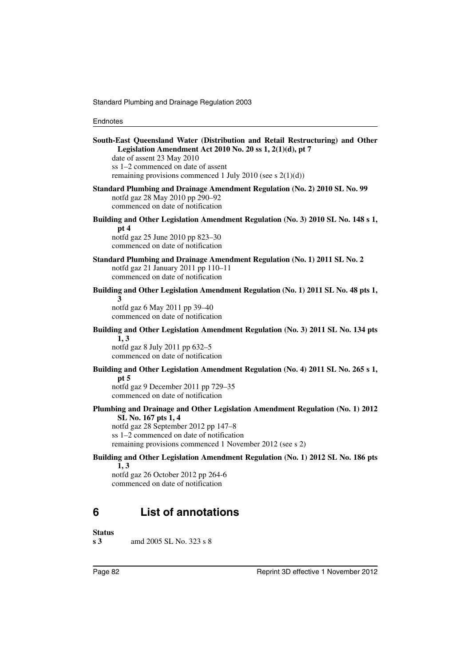| South-East Queensland Water (Distribution and Retail Restructuring) and Other<br>Legislation Amendment Act 2010 No. 20 ss 1, 2(1)(d), pt 7<br>date of assent 23 May 2010<br>ss 1-2 commenced on date of assent<br>remaining provisions commenced 1 July 2010 (see s $2(1)(d)$ ) |
|---------------------------------------------------------------------------------------------------------------------------------------------------------------------------------------------------------------------------------------------------------------------------------|
| Standard Plumbing and Drainage Amendment Regulation (No. 2) 2010 SL No. 99<br>notfd gaz 28 May 2010 pp 290-92<br>commenced on date of notification                                                                                                                              |
| Building and Other Legislation Amendment Regulation (No. 3) 2010 SL No. 148 s 1,<br>pt 4<br>notfd gaz 25 June 2010 pp 823-30<br>commenced on date of notification                                                                                                               |
| Standard Plumbing and Drainage Amendment Regulation (No. 1) 2011 SL No. 2<br>notfd gaz 21 January 2011 pp 110-11<br>commenced on date of notification                                                                                                                           |
| Building and Other Legislation Amendment Regulation (No. 1) 2011 SL No. 48 pts 1,<br>3                                                                                                                                                                                          |
| notfd gaz 6 May 2011 pp 39-40<br>commenced on date of notification                                                                                                                                                                                                              |
| Building and Other Legislation Amendment Regulation (No. 3) 2011 SL No. 134 pts<br>1, 3                                                                                                                                                                                         |
| notfd gaz 8 July 2011 pp 632-5<br>commenced on date of notification                                                                                                                                                                                                             |
| Building and Other Legislation Amendment Regulation (No. 4) 2011 SL No. 265 s 1,                                                                                                                                                                                                |
| pt $5$<br>notfd gaz 9 December 2011 pp 729-35<br>commenced on date of notification                                                                                                                                                                                              |
| Plumbing and Drainage and Other Legislation Amendment Regulation (No. 1) 2012<br>SL No. 167 pts 1, 4<br>notfd gaz 28 September 2012 pp 147-8<br>ss 1-2 commenced on date of notification<br>remaining provisions commenced 1 November 2012 (see s 2)                            |
| Building and Other Legislation Amendment Regulation (No. 1) 2012 SL No. 186 pts<br>1, 3<br>notfd gaz 26 October 2012 pp 264-6<br>commenced on date of notification                                                                                                              |
| <b>List of annotations</b><br>6                                                                                                                                                                                                                                                 |

<span id="page-83-0"></span>**Status s 3** amd 2005 SL No. 323 s 8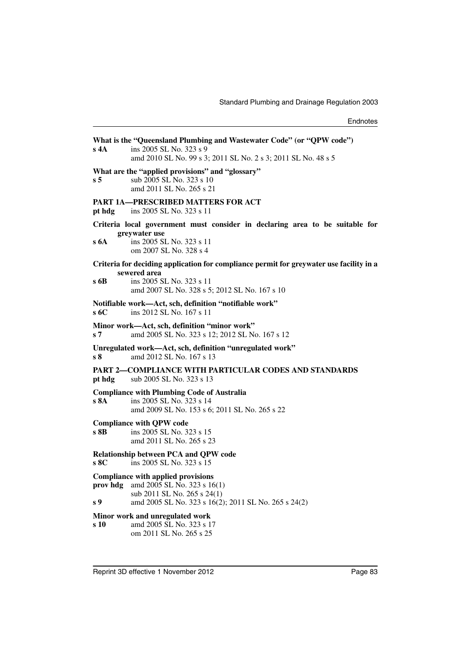| $s$ 4A          | What is the "Queensland Plumbing and Wastewater Code" (or "QPW code")<br>ins 2005 SL No. 323 s 9<br>amd 2010 SL No. 99 s 3; 2011 SL No. 2 s 3; 2011 SL No. 48 s 5                    |
|-----------------|--------------------------------------------------------------------------------------------------------------------------------------------------------------------------------------|
| s <sub>5</sub>  | What are the "applied provisions" and "glossary"<br>sub 2005 SL No. 323 s 10<br>amd 2011 SL No. 265 s 21                                                                             |
| pt hdg          | PART 1A-PRESCRIBED MATTERS FOR ACT<br>ins 2005 SL No. 323 s 11                                                                                                                       |
| s 6A            | Criteria local government must consider in declaring area to be suitable for<br>greywater use<br>ins 2005 SL No. 323 s 11<br>om 2007 SL No. 328 s 4                                  |
| s 6B            | Criteria for deciding application for compliance permit for greywater use facility in a<br>sewered area<br>ins 2005 SL No. 323 s 11<br>amd 2007 SL No. 328 s 5; 2012 SL No. 167 s 10 |
| s 6C            | Notifiable work-Act, sch, definition "notifiable work"<br>ins 2012 SL No. 167 s 11                                                                                                   |
| s7              | Minor work—Act, sch, definition "minor work"<br>amd 2005 SL No. 323 s 12; 2012 SL No. 167 s 12                                                                                       |
| s <sub>8</sub>  | Unregulated work—Act, sch, definition "unregulated work"<br>amd 2012 SL No. 167 s 13                                                                                                 |
| pt hdg          | PART 2—COMPLIANCE WITH PARTICULAR CODES AND STANDARDS<br>sub 2005 SL No. 323 s 13                                                                                                    |
| s 8A            | <b>Compliance with Plumbing Code of Australia</b><br>ins 2005 SL No. 323 s 14<br>amd 2009 SL No. 153 s 6; 2011 SL No. 265 s 22                                                       |
| s 8B            | <b>Compliance with QPW code</b><br>ins 2005 SL No. 323 s 15<br>amd 2011 SL No. 265 s 23                                                                                              |
| s 8C            | <b>Relationship between PCA and QPW code</b><br>ins 2005 SL No. 323 s 15                                                                                                             |
| prov hdg<br>s 9 | <b>Compliance with applied provisions</b><br>amd 2005 SL No. 323 s 16(1)<br>sub 2011 SL No. 265 s 24(1)<br>amd 2005 SL No. 323 s 16(2); 2011 SL No. 265 s 24(2)                      |
| s 10            | Minor work and unregulated work<br>amd 2005 SL No. 323 s 17<br>om 2011 SL No. 265 s 25                                                                                               |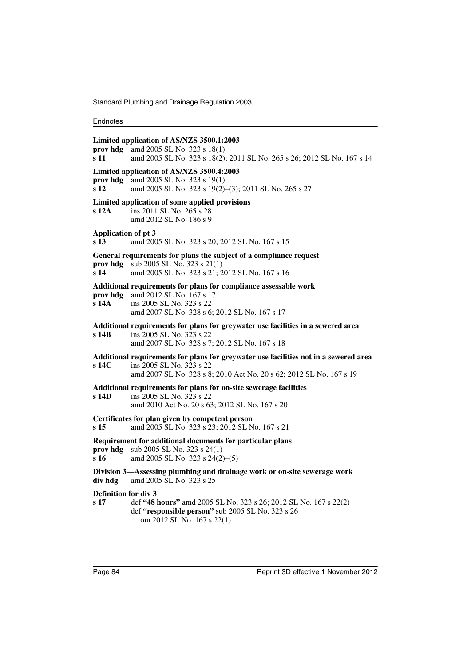Standard Plumbing and Drainage Regulation 2003

| prov hdg<br>s 11                              | Limited application of AS/NZS 3500.1:2003<br>amd 2005 SL No. 323 s 18(1)<br>amd 2005 SL No. 323 s 18(2); 2011 SL No. 265 s 26; 2012 SL No. 167 s 14                                     |
|-----------------------------------------------|-----------------------------------------------------------------------------------------------------------------------------------------------------------------------------------------|
| prov hdg<br>s <sub>12</sub>                   | Limited application of AS/NZS 3500.4:2003<br>amd 2005 SL No. 323 s 19(1)<br>amd 2005 SL No. 323 s 19(2)-(3); 2011 SL No. 265 s 27                                                       |
| s <sub>12A</sub>                              | Limited application of some applied provisions<br>ins 2011 SL No. 265 s 28<br>amd 2012 SL No. 186 s 9                                                                                   |
| <b>Application of pt 3</b><br>s <sub>13</sub> | amd 2005 SL No. 323 s 20; 2012 SL No. 167 s 15                                                                                                                                          |
| prov hdg<br>s <sub>14</sub>                   | General requirements for plans the subject of a compliance request<br>sub 2005 SL No. 323 s 21(1)<br>amd 2005 SL No. 323 s 21; 2012 SL No. 167 s 16                                     |
| s 14A                                         | Additional requirements for plans for compliance assessable work<br>prov hdg amd 2012 SL No. 167 s 17<br>ins 2005 SL No. 323 s 22<br>amd 2007 SL No. 328 s 6; 2012 SL No. 167 s 17      |
| s 14 <sub>B</sub>                             | Additional requirements for plans for greywater use facilities in a sewered area<br>ins 2005 SL No. 323 s 22<br>amd 2007 SL No. 328 s 7; 2012 SL No. 167 s 18                           |
| s 14C                                         | Additional requirements for plans for greywater use facilities not in a sewered area<br>ins 2005 SL No. 323 s 22<br>amd 2007 SL No. 328 s 8; 2010 Act No. 20 s 62; 2012 SL No. 167 s 19 |
| s 14D                                         | Additional requirements for plans for on-site sewerage facilities<br>ins 2005 SL No. 323 s 22<br>amd 2010 Act No. 20 s 63; 2012 SL No. 167 s 20                                         |
| s 15                                          | Certificates for plan given by competent person<br>amd 2005 SL No. 323 s 23; 2012 SL No. 167 s 21                                                                                       |
| prov hdg<br>s 16                              | Requirement for additional documents for particular plans<br>sub 2005 SL No. 323 s 24(1)<br>amd 2005 SL No. 323 s 24(2)–(5)                                                             |
| div hdg                                       | Division 3-Assessing plumbing and drainage work or on-site sewerage work<br>amd 2005 SL No. 323 s 25                                                                                    |
| <b>Definition for div 3</b><br>s 17           | def "48 hours" amd 2005 SL No. 323 s 26; 2012 SL No. 167 s 22(2)<br>def "responsible person" sub 2005 SL No. 323 s 26<br>om 2012 SL No. 167 s 22(1)                                     |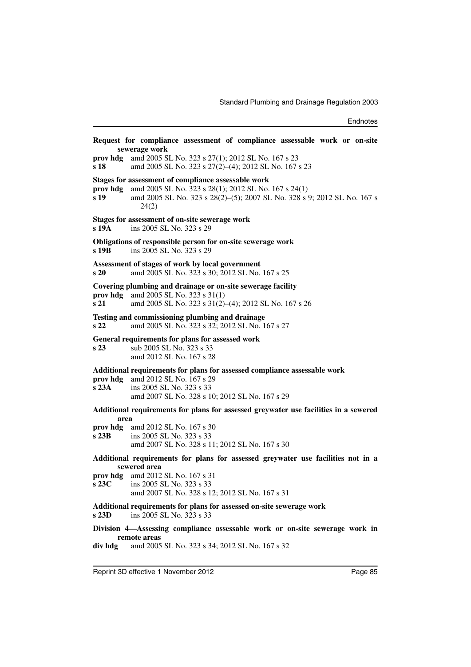|                             | Request for compliance assessment of compliance assessable work or on-site<br>sewerage work                                                                                                                                |
|-----------------------------|----------------------------------------------------------------------------------------------------------------------------------------------------------------------------------------------------------------------------|
| s 18                        | prov hdg amd 2005 SL No. 323 s 27(1); 2012 SL No. 167 s 23<br>amd 2005 SL No. 323 s 27(2)-(4); 2012 SL No. 167 s 23                                                                                                        |
| prov hdg<br>s 19            | Stages for assessment of compliance assessable work<br>amd 2005 SL No. 323 s 28(1); 2012 SL No. 167 s 24(1)<br>amd 2005 SL No. 323 s 28(2)–(5); 2007 SL No. 328 s 9; 2012 SL No. 167 s<br>24(2)                            |
| s 19A                       | Stages for assessment of on-site sewerage work<br>ins 2005 SL No. 323 s 29                                                                                                                                                 |
| s 19B                       | Obligations of responsible person for on-site sewerage work<br>ins 2005 SL No. 323 s 29                                                                                                                                    |
| s 20                        | Assessment of stages of work by local government<br>amd 2005 SL No. 323 s 30; 2012 SL No. 167 s 25                                                                                                                         |
| prov hdg<br>s <sub>21</sub> | Covering plumbing and drainage or on-site sewerage facility<br>amd 2005 SL No. 323 s 31(1)<br>amd 2005 SL No. 323 s 31(2)-(4); 2012 SL No. 167 s 26                                                                        |
| s22                         | Testing and commissioning plumbing and drainage<br>amd 2005 SL No. 323 s 32; 2012 SL No. 167 s 27                                                                                                                          |
| s <sub>23</sub>             | General requirements for plans for assessed work<br>sub 2005 SL No. 323 s 33<br>amd 2012 SL No. 167 s 28                                                                                                                   |
| prov hdg<br>s23A            | Additional requirements for plans for assessed compliance assessable work<br>amd 2012 SL No. 167 s 29<br>ins 2005 SL No. 323 s 33<br>amd 2007 SL No. 328 s 10; 2012 SL No. 167 s 29                                        |
| area                        | Additional requirements for plans for assessed greywater use facilities in a sewered                                                                                                                                       |
| prov hdg<br>s23B            | amd 2012 SL No. 167 s 30<br>ins 2005 SL No. 323 s 33<br>amd 2007 SL No. 328 s 11; 2012 SL No. 167 s 30                                                                                                                     |
| $s\,23C$                    | Additional requirements for plans for assessed greywater use facilities not in a<br>sewered area<br><b>prov hdg</b> amd 2012 SL No. 167 s 31<br>ins 2005 SL No. 323 s 33<br>amd 2007 SL No. 328 s 12; 2012 SL No. 167 s 31 |
| s 23D                       | Additional requirements for plans for assessed on-site sewerage work<br>ins 2005 SL No. 323 s 33                                                                                                                           |
| div hdg                     | Division 4-Assessing compliance assessable work or on-site sewerage work in<br>remote areas<br>amd 2005 SL No. 323 s 34; 2012 SL No. 167 s 32                                                                              |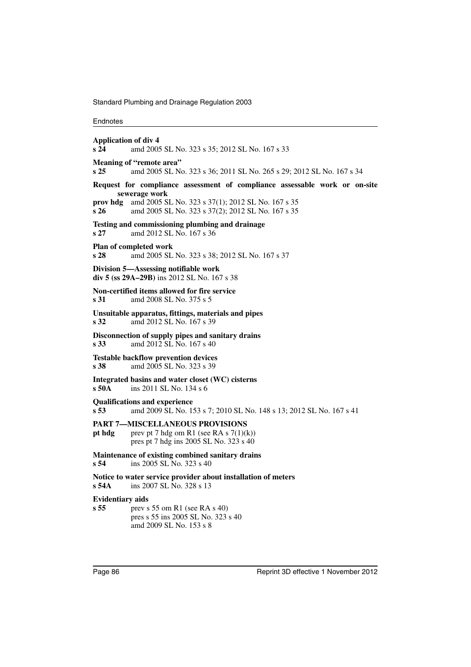Standard Plumbing and Drainage Regulation 2003

| <b>Application of div 4</b><br>s24         | amd 2005 SL No. 323 s 35; 2012 SL No. 167 s 33                                                                                                                                                        |
|--------------------------------------------|-------------------------------------------------------------------------------------------------------------------------------------------------------------------------------------------------------|
| s <sub>25</sub>                            | Meaning of "remote area"<br>amd 2005 SL No. 323 s 36; 2011 SL No. 265 s 29; 2012 SL No. 167 s 34                                                                                                      |
| prov hdg<br>s26                            | Request for compliance assessment of compliance assessable work or on-site<br>sewerage work<br>amd 2005 SL No. 323 s 37(1); 2012 SL No. 167 s 35<br>amd 2005 SL No. 323 s 37(2); 2012 SL No. 167 s 35 |
| s <sub>27</sub>                            | Testing and commissioning plumbing and drainage<br>amd 2012 SL No. 167 s 36                                                                                                                           |
| s <sub>28</sub>                            | Plan of completed work<br>amd 2005 SL No. 323 s 38; 2012 SL No. 167 s 37                                                                                                                              |
|                                            | Division 5—Assessing notifiable work<br>div 5 (ss 29A-29B) ins 2012 SL No. 167 s 38                                                                                                                   |
| s 31                                       | Non-certified items allowed for fire service<br>amd 2008 SL No. 375 s 5                                                                                                                               |
| s <sub>32</sub>                            | Unsuitable apparatus, fittings, materials and pipes<br>amd 2012 SL No. 167 s 39                                                                                                                       |
| s <sub>33</sub>                            | Disconnection of supply pipes and sanitary drains<br>amd 2012 SL No. 167 s 40                                                                                                                         |
| s <sub>38</sub>                            | <b>Testable backflow prevention devices</b><br>amd 2005 SL No. 323 s 39                                                                                                                               |
| s 50A                                      | Integrated basins and water closet (WC) cisterns<br>ins 2011 SL No. 134 s 6                                                                                                                           |
| s <sub>53</sub>                            | <b>Qualifications and experience</b><br>amd 2009 SL No. 153 s 7; 2010 SL No. 148 s 13; 2012 SL No. 167 s 41                                                                                           |
| pt hdg                                     | <b>PART 7-MISCELLANEOUS PROVISIONS</b><br>prev pt 7 hdg om R1 (see RA s $7(1)(k)$ )<br>pres pt 7 hdg ins 2005 SL No. 323 s 40                                                                         |
| s <sub>54</sub>                            | Maintenance of existing combined sanitary drains<br>ins 2005 SL No. 323 s 40                                                                                                                          |
| s54A                                       | Notice to water service provider about installation of meters<br>ins 2007 SL No. 328 s 13                                                                                                             |
| <b>Evidentiary aids</b><br>s <sub>55</sub> | prev s 55 om R1 (see RA s 40)<br>pres s 55 ins 2005 SL No. 323 s 40<br>amd 2009 SL No. 153 s 8                                                                                                        |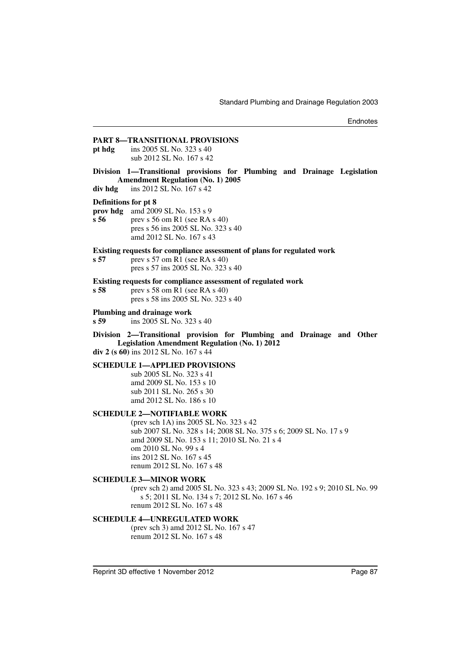# **PART 8—TRANSITIONAL PROVISIONS pt hdg** ins 2005 SL No. 323 s 40 sub 2012 SL No. 167 s 42 **Division 1—Transitional provisions for Plumbing and Drainage Legislation Amendment Regulation (No. 1) 2005 div hdg** ins 2012 SL No. 167 s 42 **Definitions for pt 8 prov hdg** amd 2009 SL No. 153 s 9 **s 56** prev s 56 om R1 (see RA s 40) pres s 56 ins 2005 SL No. 323 s 40 amd 2012 SL No. 167 s 43 **Existing requests for compliance assessment of plans for regulated work s 57** prev s 57 om R1 (see RA s 40) pres s 57 ins 2005 SL No. 323 s 40 **Existing requests for compliance assessment of regulated work s 58** prev s 58 om R1 (see RA s 40) pres s 58 ins 2005 SL No. 323 s 40 **Plumbing and drainage work s 59** ins 2005 SL No. 323 s 40 **Division 2—Transitional provision for Plumbing and Drainage and Other Legislation Amendment Regulation (No. 1) 2012 div 2 (s 60)** ins 2012 SL No. 167 s 44 **SCHEDULE 1—APPLIED PROVISIONS** sub 2005 SL No. 323 s 41 amd 2009 SL No. 153 s 10 sub 2011 SL No. 265 s 30 amd 2012 SL No. 186 s 10 **SCHEDULE 2—NOTIFIABLE WORK** (prev sch 1A) ins 2005 SL No. 323 s 42 sub 2007 SL No. 328 s 14; 2008 SL No. 375 s 6; 2009 SL No. 17 s 9 amd 2009 SL No. 153 s 11; 2010 SL No. 21 s 4 om 2010 SL No. 99 s 4 ins 2012 SL No. 167 s 45 renum 2012 SL No. 167 s 48 **SCHEDULE 3—MINOR WORK** (prev sch 2) amd 2005 SL No. 323 s 43; 2009 SL No. 192 s 9; 2010 SL No. 99 s 5; 2011 SL No. 134 s 7; 2012 SL No. 167 s 46 renum 2012 SL No. 167 s 48 **SCHEDULE 4—UNREGULATED WORK**

(prev sch 3) amd 2012 SL No. 167 s 47 renum 2012 SL No. 167 s 48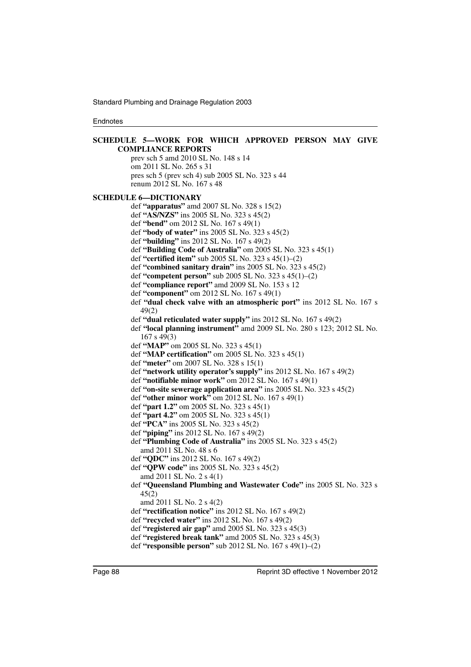```
SCHEDULE 5—WORK FOR WHICH APPROVED PERSON MAY GIVE
       COMPLIANCE REPORTS
          prev sch 5 amd 2010 SL No. 148 s 14
          om 2011 SL No. 265 s 31
          pres sch 5 (prev sch 4) sub 2005 SL No. 323 s 44
          renum 2012 SL No. 167 s 48
SCHEDULE 6—DICTIONARY
          def "apparatus" amd 2007 SL No. 328 s 15(2)
          def "AS/NZS" ins 2005 SL No. 323 s 45(2)
          def "bend" om 2012 SL No. 167 s 49(1)
          def "body of water" ins 2005 SL No. 323 s 45(2)
          def "building" ins 2012 SL No. 167 s 49(2)
          def "Building Code of Australia" om 2005 SL No. 323 s 45(1)
          def "certified item" sub 2005 SL No. 323 s 45(1)–(2)
          def "combined sanitary drain" ins 2005 SL No. 323 s 45(2)
          def "competent person" sub 2005 SL No. 323 s 45(1)–(2)
          def "compliance report" amd 2009 SL No. 153 s 12
          def "component" om 2012 SL No. 167 s 49(1)
          def "dual check valve with an atmospheric port" ins 2012 SL No. 167 s
             49(2)
          def "dual reticulated water supply" ins 2012 SL No. 167 s 49(2)
          def "local planning instrument" amd 2009 SL No. 280 s 123; 2012 SL No.
             167 s 49(3)
          def "MAP" om 2005 SL No. 323 s 45(1)
          def "MAP certification" om 2005 SL No. 323 s 45(1)
          def "meter" om 2007 SL No. 328 s 15(1)
          def "network utility operator's supply" ins 2012 SL No. 167 s 49(2)
          def "notifiable minor work" om 2012 SL No. 167 s 49(1)
          def "on-site sewerage application area" ins 2005 SL No. 323 s 45(2)
          def "other minor work" om 2012 SL No. 167 s 49(1)
          def "part 1.2" om 2005 SL No. 323 s 45(1)
          def "part 4.2" om 2005 SL No. 323 s 45(1)
          def "PCA" ins 2005 SL No. 323 s 45(2)
          def "piping" ins 2012 SL No. 167 s 49(2)
          def "Plumbing Code of Australia" ins 2005 SL No. 323 s 45(2)
             amd 2011 SL No. 48 s 6
          def "QDC" ins 2012 SL No. 167 s 49(2)
          def "QPW code" ins 2005 SL No. 323 s 45(2)
             amd 2011 SL No. 2 s 4(1)
          def "Queensland Plumbing and Wastewater Code" ins 2005 SL No. 323 s
             45(2)
             amd 2011 SL No. 2 s 4(2)
          def "rectification notice" ins 2012 SL No. 167 s 49(2)
          def "recycled water" ins 2012 SL No. 167 s 49(2)
          def "registered air gap" amd 2005 SL No. 323 s 45(3)
          def "registered break tank" amd 2005 SL No. 323 s 45(3)
          def "responsible person" sub 2012 SL No. 167 s 49(1)–(2)
```